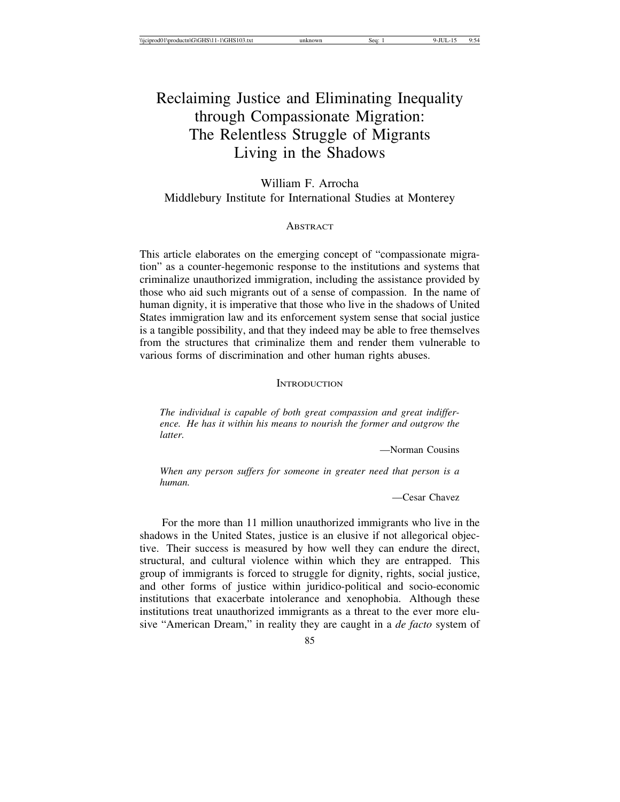# Reclaiming Justice and Eliminating Inequality through Compassionate Migration: The Relentless Struggle of Migrants Living in the Shadows

William F. Arrocha Middlebury Institute for International Studies at Monterey

## **ABSTRACT**

This article elaborates on the emerging concept of "compassionate migration" as a counter-hegemonic response to the institutions and systems that criminalize unauthorized immigration, including the assistance provided by those who aid such migrants out of a sense of compassion. In the name of human dignity, it is imperative that those who live in the shadows of United States immigration law and its enforcement system sense that social justice is a tangible possibility, and that they indeed may be able to free themselves from the structures that criminalize them and render them vulnerable to various forms of discrimination and other human rights abuses.

### **INTRODUCTION**

*The individual is capable of both great compassion and great indifference. He has it within his means to nourish the former and outgrow the latter.*

—Norman Cousins

*When any person suffers for someone in greater need that person is a human.*

—Cesar Chavez

For the more than 11 million unauthorized immigrants who live in the shadows in the United States, justice is an elusive if not allegorical objective. Their success is measured by how well they can endure the direct, structural, and cultural violence within which they are entrapped. This group of immigrants is forced to struggle for dignity, rights, social justice, and other forms of justice within juridico-political and socio-economic institutions that exacerbate intolerance and xenophobia. Although these institutions treat unauthorized immigrants as a threat to the ever more elusive "American Dream," in reality they are caught in a *de facto* system of

85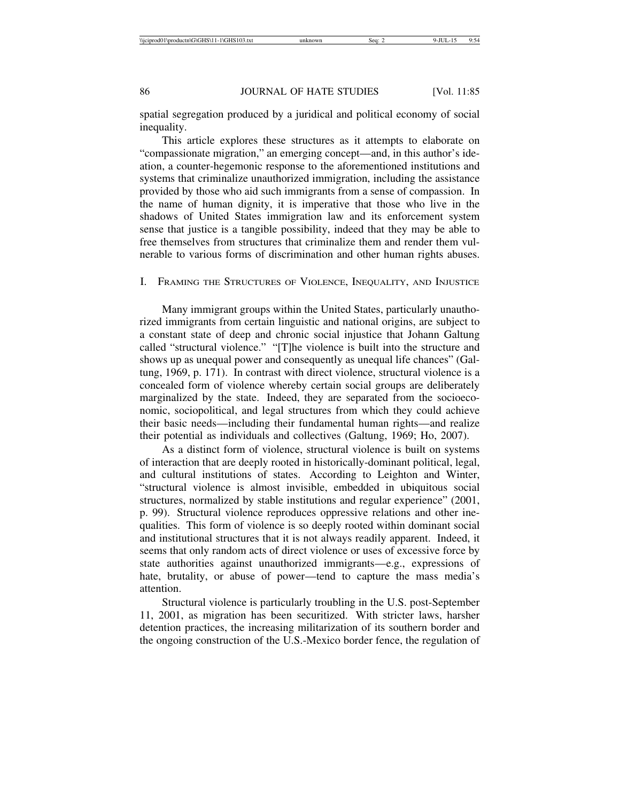spatial segregation produced by a juridical and political economy of social inequality.

This article explores these structures as it attempts to elaborate on "compassionate migration," an emerging concept—and, in this author's ideation, a counter-hegemonic response to the aforementioned institutions and systems that criminalize unauthorized immigration, including the assistance provided by those who aid such immigrants from a sense of compassion. In the name of human dignity, it is imperative that those who live in the shadows of United States immigration law and its enforcement system sense that justice is a tangible possibility, indeed that they may be able to free themselves from structures that criminalize them and render them vulnerable to various forms of discrimination and other human rights abuses.

## I. FRAMING THE STRUCTURES OF VIOLENCE, INEQUALITY, AND INJUSTICE

Many immigrant groups within the United States, particularly unauthorized immigrants from certain linguistic and national origins, are subject to a constant state of deep and chronic social injustice that Johann Galtung called "structural violence." "[T]he violence is built into the structure and shows up as unequal power and consequently as unequal life chances" (Galtung, 1969, p. 171). In contrast with direct violence, structural violence is a concealed form of violence whereby certain social groups are deliberately marginalized by the state. Indeed, they are separated from the socioeconomic, sociopolitical, and legal structures from which they could achieve their basic needs—including their fundamental human rights—and realize their potential as individuals and collectives (Galtung, 1969; Ho, 2007).

As a distinct form of violence, structural violence is built on systems of interaction that are deeply rooted in historically-dominant political, legal, and cultural institutions of states. According to Leighton and Winter, "structural violence is almost invisible, embedded in ubiquitous social structures, normalized by stable institutions and regular experience" (2001, p. 99). Structural violence reproduces oppressive relations and other inequalities. This form of violence is so deeply rooted within dominant social and institutional structures that it is not always readily apparent. Indeed, it seems that only random acts of direct violence or uses of excessive force by state authorities against unauthorized immigrants—e.g., expressions of hate, brutality, or abuse of power—tend to capture the mass media's attention.

Structural violence is particularly troubling in the U.S. post-September 11, 2001, as migration has been securitized. With stricter laws, harsher detention practices, the increasing militarization of its southern border and the ongoing construction of the U.S.-Mexico border fence, the regulation of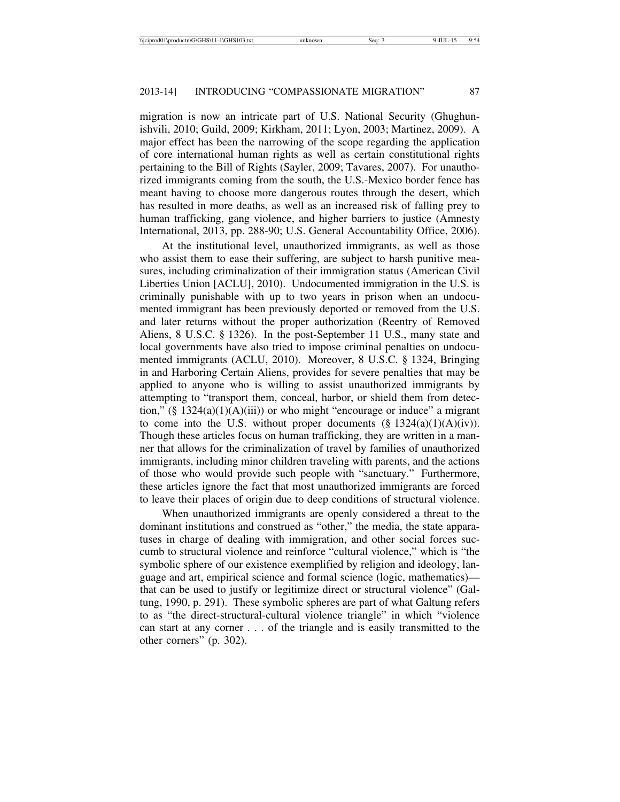migration is now an intricate part of U.S. National Security (Ghughunishvili, 2010; Guild, 2009; Kirkham, 2011; Lyon, 2003; Martinez, 2009). A major effect has been the narrowing of the scope regarding the application of core international human rights as well as certain constitutional rights pertaining to the Bill of Rights (Sayler, 2009; Tavares, 2007). For unauthorized immigrants coming from the south, the U.S.-Mexico border fence has meant having to choose more dangerous routes through the desert, which has resulted in more deaths, as well as an increased risk of falling prey to human trafficking, gang violence, and higher barriers to justice (Amnesty International, 2013, pp. 288-90; U.S. General Accountability Office, 2006).

At the institutional level, unauthorized immigrants, as well as those who assist them to ease their suffering, are subject to harsh punitive measures, including criminalization of their immigration status (American Civil Liberties Union [ACLU], 2010). Undocumented immigration in the U.S. is criminally punishable with up to two years in prison when an undocumented immigrant has been previously deported or removed from the U.S. and later returns without the proper authorization (Reentry of Removed Aliens, 8 U.S.C. § 1326). In the post-September 11 U.S., many state and local governments have also tried to impose criminal penalties on undocumented immigrants (ACLU, 2010). Moreover, 8 U.S.C. § 1324, Bringing in and Harboring Certain Aliens, provides for severe penalties that may be applied to anyone who is willing to assist unauthorized immigrants by attempting to "transport them, conceal, harbor, or shield them from detection,"  $(\S 1324(a)(1)(A)(iii))$  or who might "encourage or induce" a migrant to come into the U.S. without proper documents  $(\S 1324(a)(1)(A)(iv))$ . Though these articles focus on human trafficking, they are written in a manner that allows for the criminalization of travel by families of unauthorized immigrants, including minor children traveling with parents, and the actions of those who would provide such people with "sanctuary." Furthermore, these articles ignore the fact that most unauthorized immigrants are forced to leave their places of origin due to deep conditions of structural violence.

When unauthorized immigrants are openly considered a threat to the dominant institutions and construed as "other," the media, the state apparatuses in charge of dealing with immigration, and other social forces succumb to structural violence and reinforce "cultural violence," which is "the symbolic sphere of our existence exemplified by religion and ideology, language and art, empirical science and formal science (logic, mathematics) that can be used to justify or legitimize direct or structural violence" (Galtung, 1990, p. 291). These symbolic spheres are part of what Galtung refers to as "the direct-structural-cultural violence triangle" in which "violence can start at any corner . . . of the triangle and is easily transmitted to the other corners" (p. 302).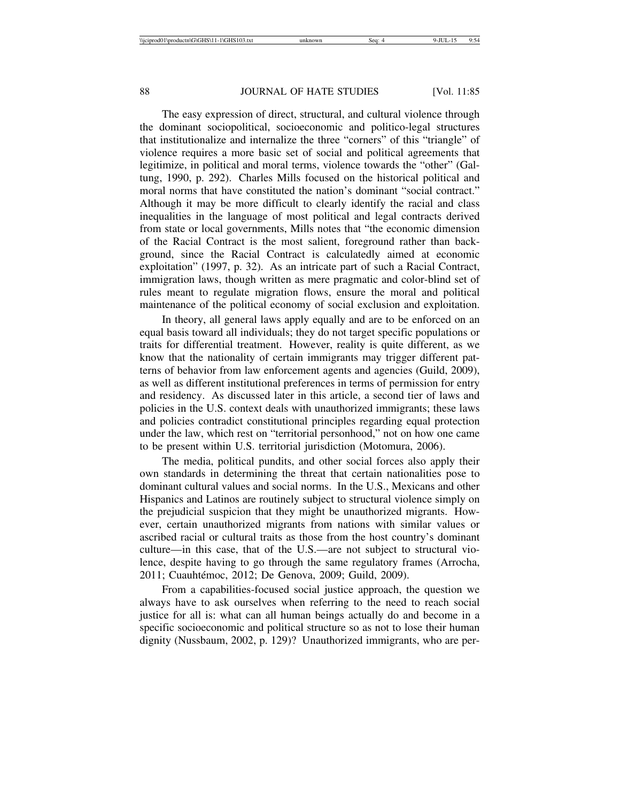The easy expression of direct, structural, and cultural violence through the dominant sociopolitical, socioeconomic and politico-legal structures that institutionalize and internalize the three "corners" of this "triangle" of violence requires a more basic set of social and political agreements that legitimize, in political and moral terms, violence towards the "other" (Galtung, 1990, p. 292). Charles Mills focused on the historical political and moral norms that have constituted the nation's dominant "social contract." Although it may be more difficult to clearly identify the racial and class inequalities in the language of most political and legal contracts derived from state or local governments, Mills notes that "the economic dimension of the Racial Contract is the most salient, foreground rather than background, since the Racial Contract is calculatedly aimed at economic exploitation" (1997, p. 32). As an intricate part of such a Racial Contract, immigration laws, though written as mere pragmatic and color-blind set of rules meant to regulate migration flows, ensure the moral and political maintenance of the political economy of social exclusion and exploitation.

In theory, all general laws apply equally and are to be enforced on an equal basis toward all individuals; they do not target specific populations or traits for differential treatment. However, reality is quite different, as we know that the nationality of certain immigrants may trigger different patterns of behavior from law enforcement agents and agencies (Guild, 2009), as well as different institutional preferences in terms of permission for entry and residency. As discussed later in this article, a second tier of laws and policies in the U.S. context deals with unauthorized immigrants; these laws and policies contradict constitutional principles regarding equal protection under the law, which rest on "territorial personhood," not on how one came to be present within U.S. territorial jurisdiction (Motomura, 2006).

The media, political pundits, and other social forces also apply their own standards in determining the threat that certain nationalities pose to dominant cultural values and social norms. In the U.S., Mexicans and other Hispanics and Latinos are routinely subject to structural violence simply on the prejudicial suspicion that they might be unauthorized migrants. However, certain unauthorized migrants from nations with similar values or ascribed racial or cultural traits as those from the host country's dominant culture—in this case, that of the U.S.—are not subject to structural violence, despite having to go through the same regulatory frames (Arrocha, 2011; Cuauhtémoc, 2012; De Genova, 2009; Guild, 2009).

From a capabilities-focused social justice approach, the question we always have to ask ourselves when referring to the need to reach social justice for all is: what can all human beings actually do and become in a specific socioeconomic and political structure so as not to lose their human dignity (Nussbaum, 2002, p. 129)? Unauthorized immigrants, who are per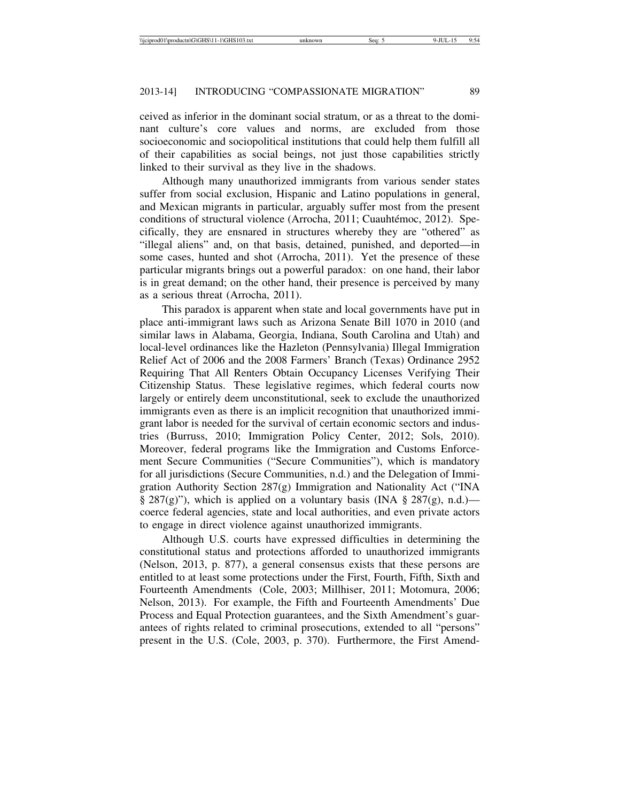ceived as inferior in the dominant social stratum, or as a threat to the dominant culture's core values and norms, are excluded from those socioeconomic and sociopolitical institutions that could help them fulfill all of their capabilities as social beings, not just those capabilities strictly linked to their survival as they live in the shadows.

Although many unauthorized immigrants from various sender states suffer from social exclusion, Hispanic and Latino populations in general, and Mexican migrants in particular, arguably suffer most from the present conditions of structural violence (Arrocha, 2011; Cuauhtémoc, 2012). Specifically, they are ensnared in structures whereby they are "othered" as "illegal aliens" and, on that basis, detained, punished, and deported—in some cases, hunted and shot (Arrocha, 2011). Yet the presence of these particular migrants brings out a powerful paradox: on one hand, their labor is in great demand; on the other hand, their presence is perceived by many as a serious threat (Arrocha, 2011).

This paradox is apparent when state and local governments have put in place anti-immigrant laws such as Arizona Senate Bill 1070 in 2010 (and similar laws in Alabama, Georgia, Indiana, South Carolina and Utah) and local-level ordinances like the Hazleton (Pennsylvania) Illegal Immigration Relief Act of 2006 and the 2008 Farmers' Branch (Texas) Ordinance 2952 Requiring That All Renters Obtain Occupancy Licenses Verifying Their Citizenship Status. These legislative regimes, which federal courts now largely or entirely deem unconstitutional, seek to exclude the unauthorized immigrants even as there is an implicit recognition that unauthorized immigrant labor is needed for the survival of certain economic sectors and industries (Burruss, 2010; Immigration Policy Center, 2012; Sols, 2010). Moreover, federal programs like the Immigration and Customs Enforcement Secure Communities ("Secure Communities"), which is mandatory for all jurisdictions (Secure Communities, n.d.) and the Delegation of Immigration Authority Section 287(g) Immigration and Nationality Act ("INA  $\S 287(g)$ "), which is applied on a voluntary basis (INA  $\S 287(g)$ , n.d.) coerce federal agencies, state and local authorities, and even private actors to engage in direct violence against unauthorized immigrants.

Although U.S. courts have expressed difficulties in determining the constitutional status and protections afforded to unauthorized immigrants (Nelson, 2013, p. 877), a general consensus exists that these persons are entitled to at least some protections under the First, Fourth, Fifth, Sixth and Fourteenth Amendments (Cole, 2003; Millhiser, 2011; Motomura, 2006; Nelson, 2013). For example, the Fifth and Fourteenth Amendments' Due Process and Equal Protection guarantees, and the Sixth Amendment's guarantees of rights related to criminal prosecutions, extended to all "persons" present in the U.S. (Cole, 2003, p. 370). Furthermore, the First Amend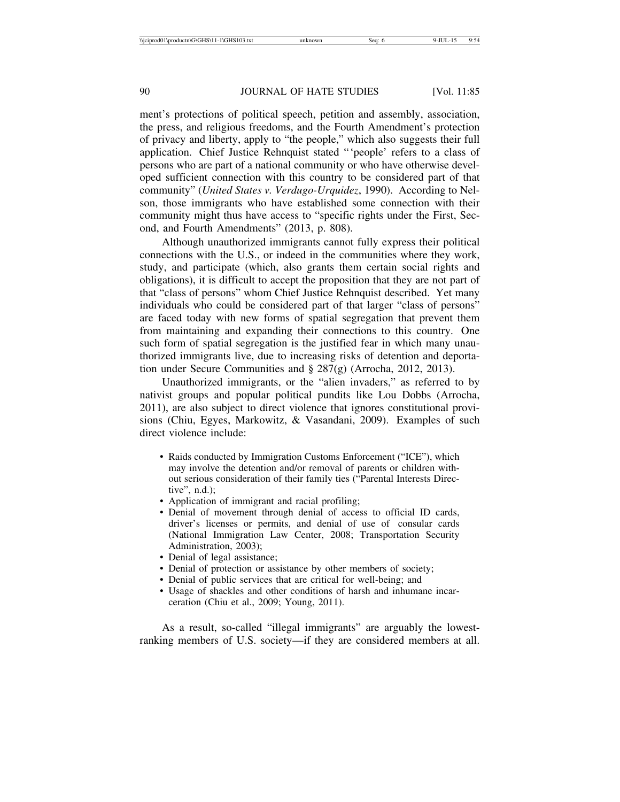ment's protections of political speech, petition and assembly, association, the press, and religious freedoms, and the Fourth Amendment's protection of privacy and liberty, apply to "the people," which also suggests their full application. Chief Justice Rehnquist stated "'people' refers to a class of persons who are part of a national community or who have otherwise developed sufficient connection with this country to be considered part of that community" (*United States v. Verdugo-Urquidez*, 1990). According to Nelson, those immigrants who have established some connection with their community might thus have access to "specific rights under the First, Second, and Fourth Amendments" (2013, p. 808).

Although unauthorized immigrants cannot fully express their political connections with the U.S., or indeed in the communities where they work, study, and participate (which, also grants them certain social rights and obligations), it is difficult to accept the proposition that they are not part of that "class of persons" whom Chief Justice Rehnquist described. Yet many individuals who could be considered part of that larger "class of persons" are faced today with new forms of spatial segregation that prevent them from maintaining and expanding their connections to this country. One such form of spatial segregation is the justified fear in which many unauthorized immigrants live, due to increasing risks of detention and deportation under Secure Communities and § 287(g) (Arrocha, 2012, 2013).

Unauthorized immigrants, or the "alien invaders," as referred to by nativist groups and popular political pundits like Lou Dobbs (Arrocha, 2011), are also subject to direct violence that ignores constitutional provisions (Chiu, Egyes, Markowitz, & Vasandani, 2009). Examples of such direct violence include:

- Raids conducted by Immigration Customs Enforcement ("ICE"), which may involve the detention and/or removal of parents or children without serious consideration of their family ties ("Parental Interests Directive", n.d.);
- Application of immigrant and racial profiling;
- Denial of movement through denial of access to official ID cards, driver's licenses or permits, and denial of use of consular cards (National Immigration Law Center, 2008; Transportation Security Administration, 2003);
- Denial of legal assistance;
- Denial of protection or assistance by other members of society;
- Denial of public services that are critical for well-being; and
- Usage of shackles and other conditions of harsh and inhumane incarceration (Chiu et al., 2009; Young, 2011).

As a result, so-called "illegal immigrants" are arguably the lowestranking members of U.S. society—if they are considered members at all.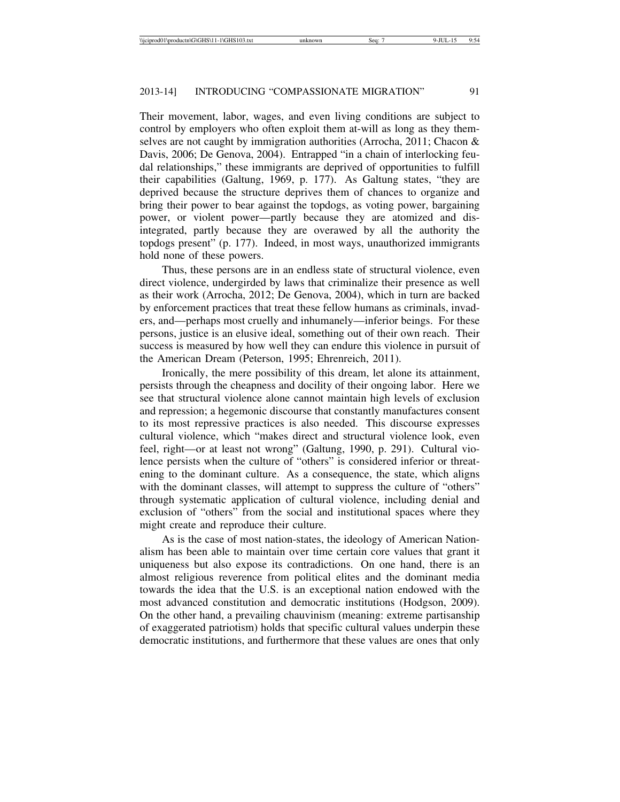Their movement, labor, wages, and even living conditions are subject to control by employers who often exploit them at-will as long as they themselves are not caught by immigration authorities (Arrocha, 2011; Chacon & Davis, 2006; De Genova, 2004). Entrapped "in a chain of interlocking feudal relationships," these immigrants are deprived of opportunities to fulfill their capabilities (Galtung, 1969, p. 177). As Galtung states, "they are deprived because the structure deprives them of chances to organize and bring their power to bear against the topdogs, as voting power, bargaining power, or violent power—partly because they are atomized and disintegrated, partly because they are overawed by all the authority the topdogs present" (p. 177). Indeed, in most ways, unauthorized immigrants hold none of these powers.

Thus, these persons are in an endless state of structural violence, even direct violence, undergirded by laws that criminalize their presence as well as their work (Arrocha, 2012; De Genova, 2004), which in turn are backed by enforcement practices that treat these fellow humans as criminals, invaders, and—perhaps most cruelly and inhumanely—inferior beings. For these persons, justice is an elusive ideal, something out of their own reach. Their success is measured by how well they can endure this violence in pursuit of the American Dream (Peterson, 1995; Ehrenreich, 2011).

Ironically, the mere possibility of this dream, let alone its attainment, persists through the cheapness and docility of their ongoing labor. Here we see that structural violence alone cannot maintain high levels of exclusion and repression; a hegemonic discourse that constantly manufactures consent to its most repressive practices is also needed. This discourse expresses cultural violence, which "makes direct and structural violence look, even feel, right—or at least not wrong" (Galtung, 1990, p. 291). Cultural violence persists when the culture of "others" is considered inferior or threatening to the dominant culture. As a consequence, the state, which aligns with the dominant classes, will attempt to suppress the culture of "others" through systematic application of cultural violence, including denial and exclusion of "others" from the social and institutional spaces where they might create and reproduce their culture.

As is the case of most nation-states, the ideology of American Nationalism has been able to maintain over time certain core values that grant it uniqueness but also expose its contradictions. On one hand, there is an almost religious reverence from political elites and the dominant media towards the idea that the U.S. is an exceptional nation endowed with the most advanced constitution and democratic institutions (Hodgson, 2009). On the other hand, a prevailing chauvinism (meaning: extreme partisanship of exaggerated patriotism) holds that specific cultural values underpin these democratic institutions, and furthermore that these values are ones that only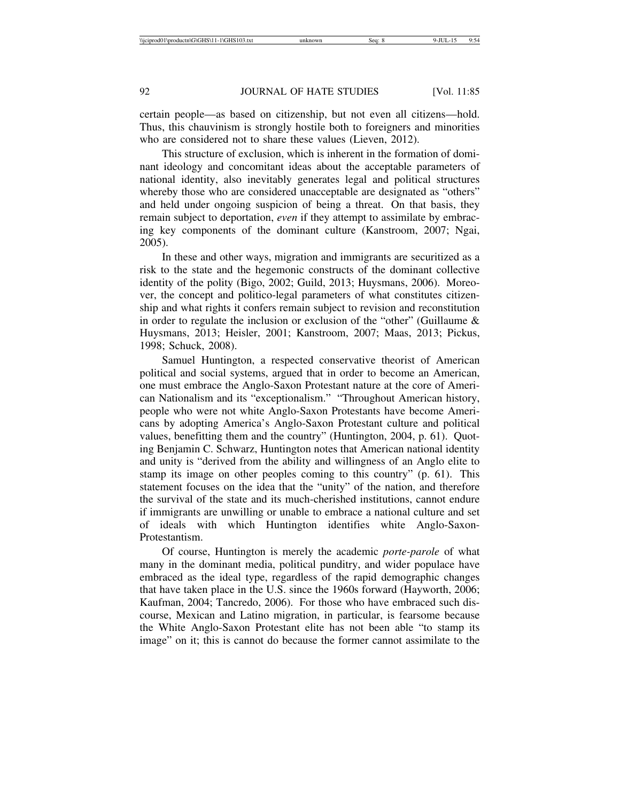certain people—as based on citizenship, but not even all citizens—hold. Thus, this chauvinism is strongly hostile both to foreigners and minorities who are considered not to share these values (Lieven, 2012).

This structure of exclusion, which is inherent in the formation of dominant ideology and concomitant ideas about the acceptable parameters of national identity, also inevitably generates legal and political structures whereby those who are considered unacceptable are designated as "others" and held under ongoing suspicion of being a threat. On that basis, they remain subject to deportation, *even* if they attempt to assimilate by embracing key components of the dominant culture (Kanstroom, 2007; Ngai, 2005).

In these and other ways, migration and immigrants are securitized as a risk to the state and the hegemonic constructs of the dominant collective identity of the polity (Bigo, 2002; Guild, 2013; Huysmans, 2006). Moreover, the concept and politico-legal parameters of what constitutes citizenship and what rights it confers remain subject to revision and reconstitution in order to regulate the inclusion or exclusion of the "other" (Guillaume & Huysmans, 2013; Heisler, 2001; Kanstroom, 2007; Maas, 2013; Pickus, 1998; Schuck, 2008).

Samuel Huntington, a respected conservative theorist of American political and social systems, argued that in order to become an American, one must embrace the Anglo-Saxon Protestant nature at the core of American Nationalism and its "exceptionalism." "Throughout American history, people who were not white Anglo-Saxon Protestants have become Americans by adopting America's Anglo-Saxon Protestant culture and political values, benefitting them and the country" (Huntington, 2004, p. 61). Quoting Benjamin C. Schwarz, Huntington notes that American national identity and unity is "derived from the ability and willingness of an Anglo elite to stamp its image on other peoples coming to this country" (p. 61). This statement focuses on the idea that the "unity" of the nation, and therefore the survival of the state and its much-cherished institutions, cannot endure if immigrants are unwilling or unable to embrace a national culture and set of ideals with which Huntington identifies white Anglo-Saxon-Protestantism.

Of course, Huntington is merely the academic *porte-parole* of what many in the dominant media, political punditry, and wider populace have embraced as the ideal type, regardless of the rapid demographic changes that have taken place in the U.S. since the 1960s forward (Hayworth, 2006; Kaufman, 2004; Tancredo, 2006). For those who have embraced such discourse, Mexican and Latino migration, in particular, is fearsome because the White Anglo-Saxon Protestant elite has not been able "to stamp its image" on it; this is cannot do because the former cannot assimilate to the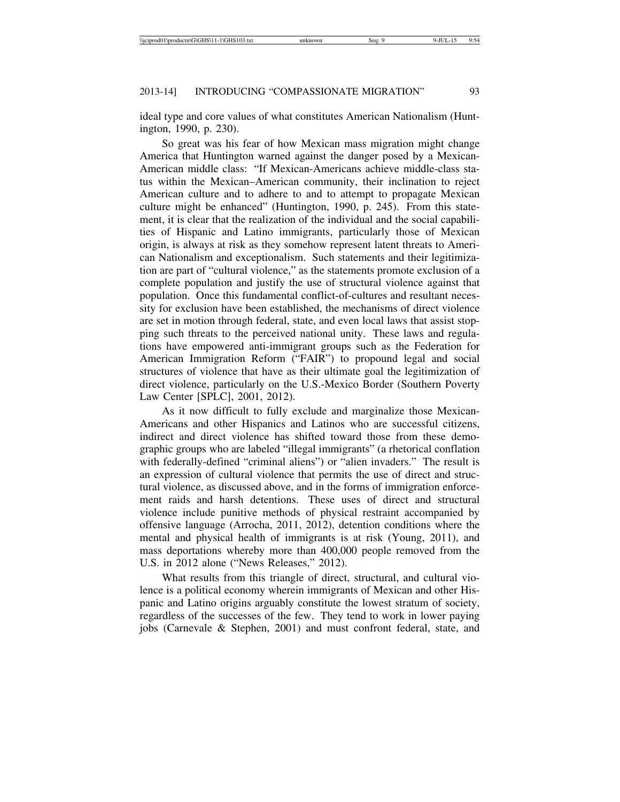ideal type and core values of what constitutes American Nationalism (Huntington, 1990, p. 230).

So great was his fear of how Mexican mass migration might change America that Huntington warned against the danger posed by a Mexican-American middle class: "If Mexican-Americans achieve middle-class status within the Mexican–American community, their inclination to reject American culture and to adhere to and to attempt to propagate Mexican culture might be enhanced" (Huntington, 1990, p. 245). From this statement, it is clear that the realization of the individual and the social capabilities of Hispanic and Latino immigrants, particularly those of Mexican origin, is always at risk as they somehow represent latent threats to American Nationalism and exceptionalism. Such statements and their legitimization are part of "cultural violence," as the statements promote exclusion of a complete population and justify the use of structural violence against that population. Once this fundamental conflict-of-cultures and resultant necessity for exclusion have been established, the mechanisms of direct violence are set in motion through federal, state, and even local laws that assist stopping such threats to the perceived national unity. These laws and regulations have empowered anti-immigrant groups such as the Federation for American Immigration Reform ("FAIR") to propound legal and social structures of violence that have as their ultimate goal the legitimization of direct violence, particularly on the U.S.-Mexico Border (Southern Poverty Law Center [SPLC], 2001, 2012).

As it now difficult to fully exclude and marginalize those Mexican-Americans and other Hispanics and Latinos who are successful citizens, indirect and direct violence has shifted toward those from these demographic groups who are labeled "illegal immigrants" (a rhetorical conflation with federally-defined "criminal aliens") or "alien invaders." The result is an expression of cultural violence that permits the use of direct and structural violence, as discussed above, and in the forms of immigration enforcement raids and harsh detentions. These uses of direct and structural violence include punitive methods of physical restraint accompanied by offensive language (Arrocha, 2011, 2012), detention conditions where the mental and physical health of immigrants is at risk (Young, 2011), and mass deportations whereby more than 400,000 people removed from the U.S. in 2012 alone ("News Releases," 2012).

What results from this triangle of direct, structural, and cultural violence is a political economy wherein immigrants of Mexican and other Hispanic and Latino origins arguably constitute the lowest stratum of society, regardless of the successes of the few. They tend to work in lower paying jobs (Carnevale & Stephen, 2001) and must confront federal, state, and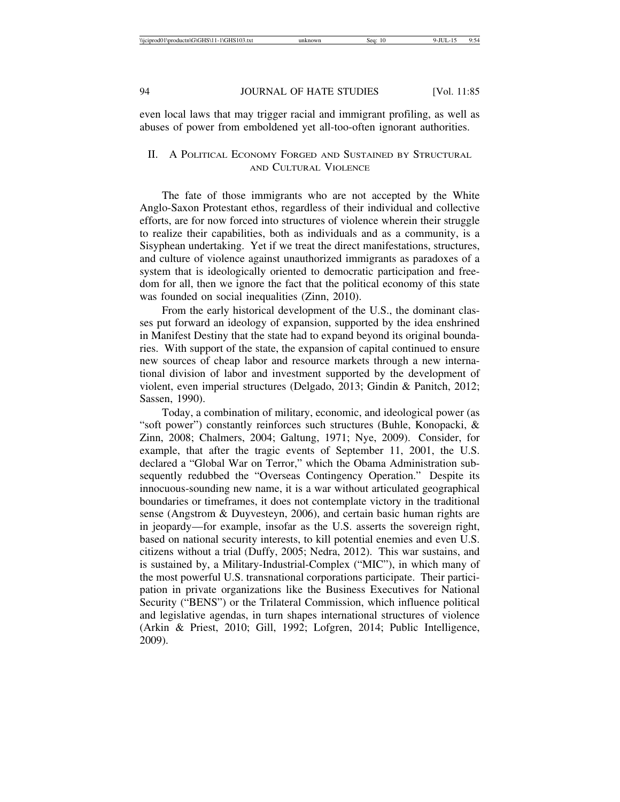even local laws that may trigger racial and immigrant profiling, as well as abuses of power from emboldened yet all-too-often ignorant authorities.

## II. A POLITICAL ECONOMY FORGED AND SUSTAINED BY STRUCTURAL AND CULTURAL VIOLENCE

The fate of those immigrants who are not accepted by the White Anglo-Saxon Protestant ethos, regardless of their individual and collective efforts, are for now forced into structures of violence wherein their struggle to realize their capabilities, both as individuals and as a community, is a Sisyphean undertaking. Yet if we treat the direct manifestations, structures, and culture of violence against unauthorized immigrants as paradoxes of a system that is ideologically oriented to democratic participation and freedom for all, then we ignore the fact that the political economy of this state was founded on social inequalities (Zinn, 2010).

From the early historical development of the U.S., the dominant classes put forward an ideology of expansion, supported by the idea enshrined in Manifest Destiny that the state had to expand beyond its original boundaries. With support of the state, the expansion of capital continued to ensure new sources of cheap labor and resource markets through a new international division of labor and investment supported by the development of violent, even imperial structures (Delgado, 2013; Gindin & Panitch, 2012; Sassen, 1990).

Today, a combination of military, economic, and ideological power (as "soft power") constantly reinforces such structures (Buhle, Konopacki, & Zinn, 2008; Chalmers, 2004; Galtung, 1971; Nye, 2009). Consider, for example, that after the tragic events of September 11, 2001, the U.S. declared a "Global War on Terror," which the Obama Administration subsequently redubbed the "Overseas Contingency Operation." Despite its innocuous-sounding new name, it is a war without articulated geographical boundaries or timeframes, it does not contemplate victory in the traditional sense (Angstrom & Duyvesteyn, 2006), and certain basic human rights are in jeopardy—for example, insofar as the U.S. asserts the sovereign right, based on national security interests, to kill potential enemies and even U.S. citizens without a trial (Duffy, 2005; Nedra, 2012). This war sustains, and is sustained by, a Military-Industrial-Complex ("MIC"), in which many of the most powerful U.S. transnational corporations participate. Their participation in private organizations like the Business Executives for National Security ("BENS") or the Trilateral Commission, which influence political and legislative agendas, in turn shapes international structures of violence (Arkin & Priest, 2010; Gill, 1992; Lofgren, 2014; Public Intelligence, 2009).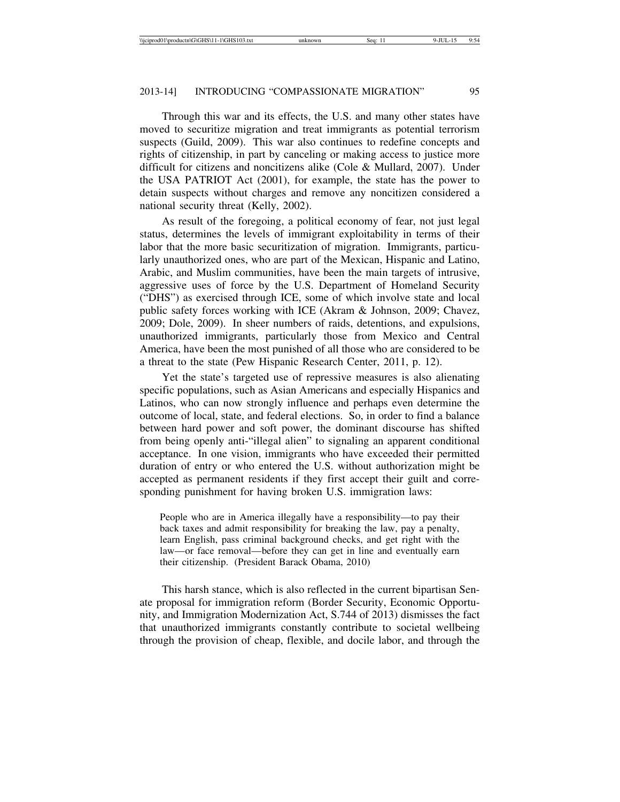Through this war and its effects, the U.S. and many other states have moved to securitize migration and treat immigrants as potential terrorism suspects (Guild, 2009). This war also continues to redefine concepts and rights of citizenship, in part by canceling or making access to justice more difficult for citizens and noncitizens alike (Cole & Mullard, 2007). Under the USA PATRIOT Act (2001), for example, the state has the power to detain suspects without charges and remove any noncitizen considered a national security threat (Kelly, 2002).

As result of the foregoing, a political economy of fear, not just legal status, determines the levels of immigrant exploitability in terms of their labor that the more basic securitization of migration. Immigrants, particularly unauthorized ones, who are part of the Mexican, Hispanic and Latino, Arabic, and Muslim communities, have been the main targets of intrusive, aggressive uses of force by the U.S. Department of Homeland Security ("DHS") as exercised through ICE, some of which involve state and local public safety forces working with ICE (Akram & Johnson, 2009; Chavez, 2009; Dole, 2009). In sheer numbers of raids, detentions, and expulsions, unauthorized immigrants, particularly those from Mexico and Central America, have been the most punished of all those who are considered to be a threat to the state (Pew Hispanic Research Center, 2011, p. 12).

Yet the state's targeted use of repressive measures is also alienating specific populations, such as Asian Americans and especially Hispanics and Latinos, who can now strongly influence and perhaps even determine the outcome of local, state, and federal elections. So, in order to find a balance between hard power and soft power, the dominant discourse has shifted from being openly anti-"illegal alien" to signaling an apparent conditional acceptance. In one vision, immigrants who have exceeded their permitted duration of entry or who entered the U.S. without authorization might be accepted as permanent residents if they first accept their guilt and corresponding punishment for having broken U.S. immigration laws:

People who are in America illegally have a responsibility—to pay their back taxes and admit responsibility for breaking the law, pay a penalty, learn English, pass criminal background checks, and get right with the law—or face removal—before they can get in line and eventually earn their citizenship. (President Barack Obama, 2010)

This harsh stance, which is also reflected in the current bipartisan Senate proposal for immigration reform (Border Security, Economic Opportunity, and Immigration Modernization Act, S.744 of 2013) dismisses the fact that unauthorized immigrants constantly contribute to societal wellbeing through the provision of cheap, flexible, and docile labor, and through the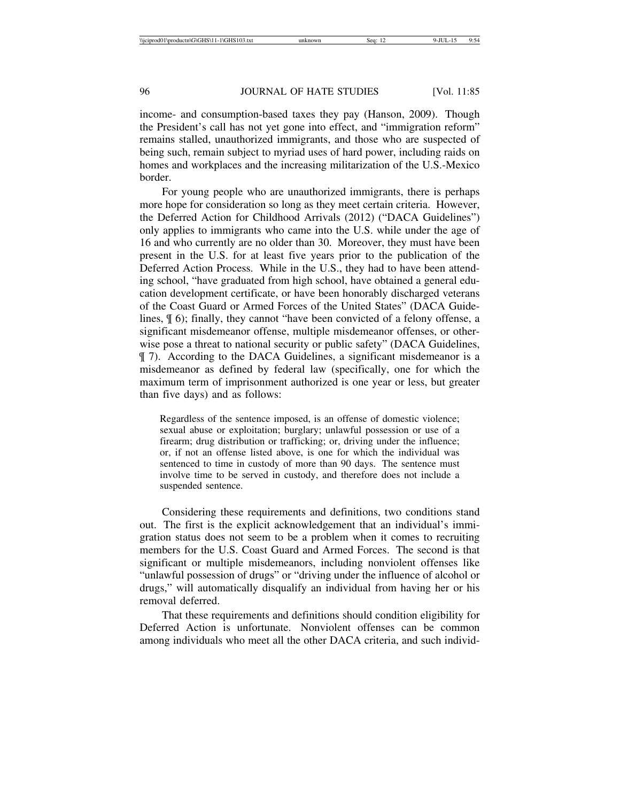income- and consumption-based taxes they pay (Hanson, 2009). Though the President's call has not yet gone into effect, and "immigration reform" remains stalled, unauthorized immigrants, and those who are suspected of being such, remain subject to myriad uses of hard power, including raids on homes and workplaces and the increasing militarization of the U.S.-Mexico border.

For young people who are unauthorized immigrants, there is perhaps more hope for consideration so long as they meet certain criteria. However, the Deferred Action for Childhood Arrivals (2012) ("DACA Guidelines") only applies to immigrants who came into the U.S. while under the age of 16 and who currently are no older than 30. Moreover, they must have been present in the U.S. for at least five years prior to the publication of the Deferred Action Process. While in the U.S., they had to have been attending school, "have graduated from high school, have obtained a general education development certificate, or have been honorably discharged veterans of the Coast Guard or Armed Forces of the United States" (DACA Guidelines, ¶ 6); finally, they cannot "have been convicted of a felony offense, a significant misdemeanor offense, multiple misdemeanor offenses, or otherwise pose a threat to national security or public safety" (DACA Guidelines, ¶ 7). According to the DACA Guidelines, a significant misdemeanor is a misdemeanor as defined by federal law (specifically, one for which the maximum term of imprisonment authorized is one year or less, but greater than five days) and as follows:

Regardless of the sentence imposed, is an offense of domestic violence; sexual abuse or exploitation; burglary; unlawful possession or use of a firearm; drug distribution or trafficking; or, driving under the influence; or, if not an offense listed above, is one for which the individual was sentenced to time in custody of more than 90 days. The sentence must involve time to be served in custody, and therefore does not include a suspended sentence.

Considering these requirements and definitions, two conditions stand out. The first is the explicit acknowledgement that an individual's immigration status does not seem to be a problem when it comes to recruiting members for the U.S. Coast Guard and Armed Forces. The second is that significant or multiple misdemeanors, including nonviolent offenses like "unlawful possession of drugs" or "driving under the influence of alcohol or drugs," will automatically disqualify an individual from having her or his removal deferred.

That these requirements and definitions should condition eligibility for Deferred Action is unfortunate. Nonviolent offenses can be common among individuals who meet all the other DACA criteria, and such individ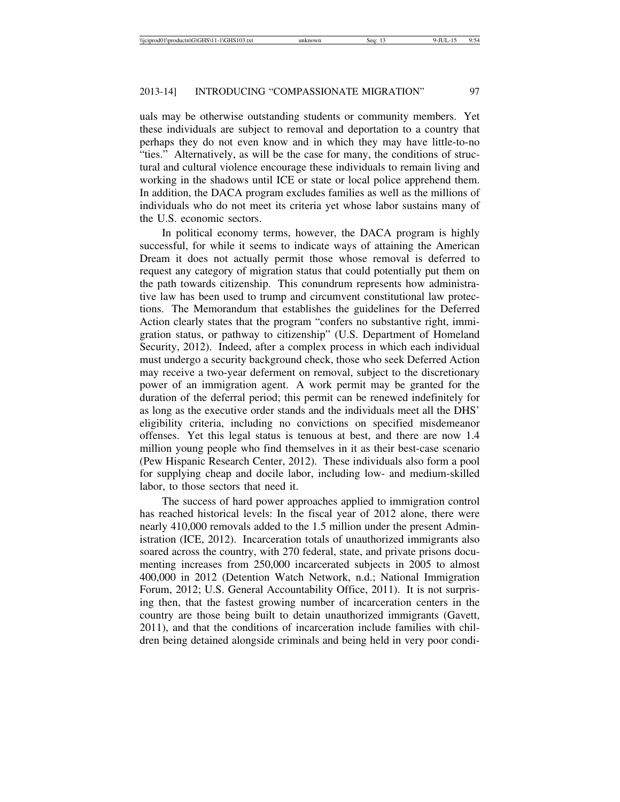uals may be otherwise outstanding students or community members. Yet these individuals are subject to removal and deportation to a country that perhaps they do not even know and in which they may have little-to-no "ties." Alternatively, as will be the case for many, the conditions of structural and cultural violence encourage these individuals to remain living and working in the shadows until ICE or state or local police apprehend them. In addition, the DACA program excludes families as well as the millions of individuals who do not meet its criteria yet whose labor sustains many of the U.S. economic sectors.

In political economy terms, however, the DACA program is highly successful, for while it seems to indicate ways of attaining the American Dream it does not actually permit those whose removal is deferred to request any category of migration status that could potentially put them on the path towards citizenship. This conundrum represents how administrative law has been used to trump and circumvent constitutional law protections. The Memorandum that establishes the guidelines for the Deferred Action clearly states that the program "confers no substantive right, immigration status, or pathway to citizenship" (U.S. Department of Homeland Security, 2012). Indeed, after a complex process in which each individual must undergo a security background check, those who seek Deferred Action may receive a two-year deferment on removal, subject to the discretionary power of an immigration agent. A work permit may be granted for the duration of the deferral period; this permit can be renewed indefinitely for as long as the executive order stands and the individuals meet all the DHS' eligibility criteria, including no convictions on specified misdemeanor offenses. Yet this legal status is tenuous at best, and there are now 1.4 million young people who find themselves in it as their best-case scenario (Pew Hispanic Research Center, 2012). These individuals also form a pool for supplying cheap and docile labor, including low- and medium-skilled labor, to those sectors that need it.

The success of hard power approaches applied to immigration control has reached historical levels: In the fiscal year of 2012 alone, there were nearly 410,000 removals added to the 1.5 million under the present Administration (ICE, 2012). Incarceration totals of unauthorized immigrants also soared across the country, with 270 federal, state, and private prisons documenting increases from 250,000 incarcerated subjects in 2005 to almost 400,000 in 2012 (Detention Watch Network, n.d.; National Immigration Forum, 2012; U.S. General Accountability Office, 2011). It is not surprising then, that the fastest growing number of incarceration centers in the country are those being built to detain unauthorized immigrants (Gavett, 2011), and that the conditions of incarceration include families with children being detained alongside criminals and being held in very poor condi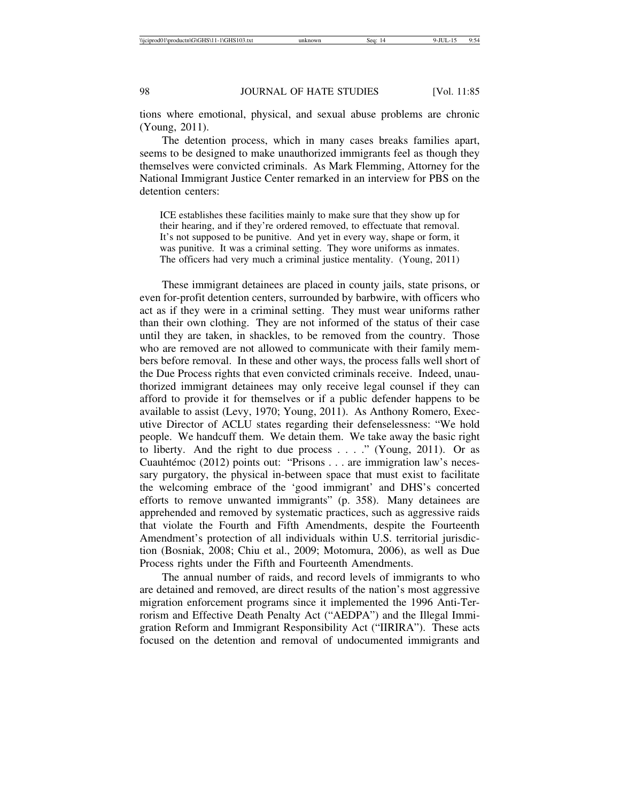tions where emotional, physical, and sexual abuse problems are chronic (Young, 2011).

The detention process, which in many cases breaks families apart, seems to be designed to make unauthorized immigrants feel as though they themselves were convicted criminals. As Mark Flemming, Attorney for the National Immigrant Justice Center remarked in an interview for PBS on the detention centers:

ICE establishes these facilities mainly to make sure that they show up for their hearing, and if they're ordered removed, to effectuate that removal. It's not supposed to be punitive. And yet in every way, shape or form, it was punitive. It was a criminal setting. They wore uniforms as inmates. The officers had very much a criminal justice mentality. (Young, 2011)

These immigrant detainees are placed in county jails, state prisons, or even for-profit detention centers, surrounded by barbwire, with officers who act as if they were in a criminal setting. They must wear uniforms rather than their own clothing. They are not informed of the status of their case until they are taken, in shackles, to be removed from the country. Those who are removed are not allowed to communicate with their family members before removal. In these and other ways, the process falls well short of the Due Process rights that even convicted criminals receive. Indeed, unauthorized immigrant detainees may only receive legal counsel if they can afford to provide it for themselves or if a public defender happens to be available to assist (Levy, 1970; Young, 2011). As Anthony Romero, Executive Director of ACLU states regarding their defenselessness: "We hold people. We handcuff them. We detain them. We take away the basic right to liberty. And the right to due process . . . ." (Young, 2011). Or as Cuauhtémoc (2012) points out: "Prisons . . . are immigration law's necessary purgatory, the physical in-between space that must exist to facilitate the welcoming embrace of the 'good immigrant' and DHS's concerted efforts to remove unwanted immigrants" (p. 358). Many detainees are apprehended and removed by systematic practices, such as aggressive raids that violate the Fourth and Fifth Amendments, despite the Fourteenth Amendment's protection of all individuals within U.S. territorial jurisdiction (Bosniak, 2008; Chiu et al., 2009; Motomura, 2006), as well as Due Process rights under the Fifth and Fourteenth Amendments.

The annual number of raids, and record levels of immigrants to who are detained and removed, are direct results of the nation's most aggressive migration enforcement programs since it implemented the 1996 Anti-Terrorism and Effective Death Penalty Act ("AEDPA") and the Illegal Immigration Reform and Immigrant Responsibility Act ("IIRIRA"). These acts focused on the detention and removal of undocumented immigrants and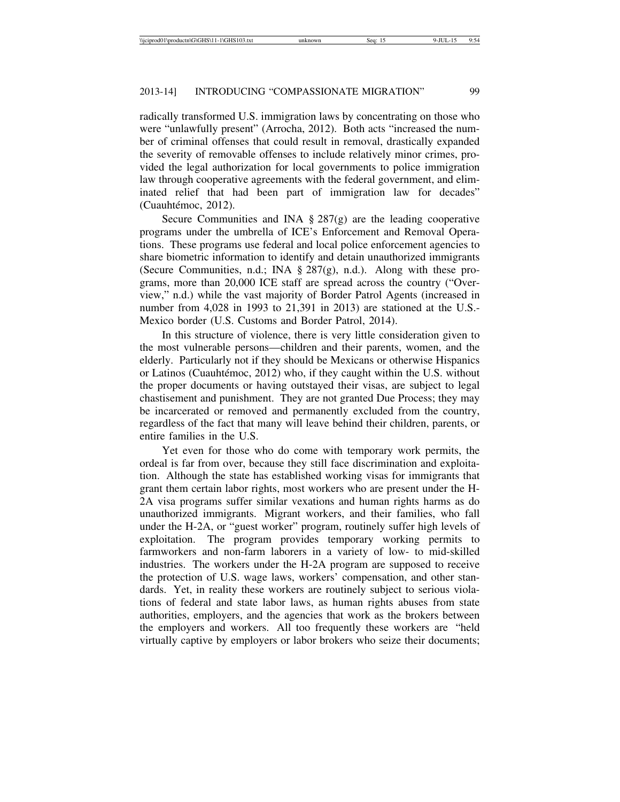radically transformed U.S. immigration laws by concentrating on those who were "unlawfully present" (Arrocha, 2012). Both acts "increased the number of criminal offenses that could result in removal, drastically expanded the severity of removable offenses to include relatively minor crimes, provided the legal authorization for local governments to police immigration law through cooperative agreements with the federal government, and eliminated relief that had been part of immigration law for decades" (Cuauhtémoc, 2012).

Secure Communities and INA  $\S 287(g)$  are the leading cooperative programs under the umbrella of ICE's Enforcement and Removal Operations. These programs use federal and local police enforcement agencies to share biometric information to identify and detain unauthorized immigrants (Secure Communities, n.d.; INA § 287(g), n.d.). Along with these programs, more than 20,000 ICE staff are spread across the country ("Overview," n.d.) while the vast majority of Border Patrol Agents (increased in number from 4,028 in 1993 to 21,391 in 2013) are stationed at the U.S.- Mexico border (U.S. Customs and Border Patrol, 2014).

In this structure of violence, there is very little consideration given to the most vulnerable persons—children and their parents, women, and the elderly. Particularly not if they should be Mexicans or otherwise Hispanics or Latinos (Cuauhtémoc, 2012) who, if they caught within the U.S. without the proper documents or having outstayed their visas, are subject to legal chastisement and punishment. They are not granted Due Process; they may be incarcerated or removed and permanently excluded from the country, regardless of the fact that many will leave behind their children, parents, or entire families in the U.S.

Yet even for those who do come with temporary work permits, the ordeal is far from over, because they still face discrimination and exploitation. Although the state has established working visas for immigrants that grant them certain labor rights, most workers who are present under the H-2A visa programs suffer similar vexations and human rights harms as do unauthorized immigrants. Migrant workers, and their families, who fall under the H-2A, or "guest worker" program, routinely suffer high levels of exploitation. The program provides temporary working permits to farmworkers and non-farm laborers in a variety of low- to mid-skilled industries. The workers under the H-2A program are supposed to receive the protection of U.S. wage laws, workers' compensation, and other standards. Yet, in reality these workers are routinely subject to serious violations of federal and state labor laws, as human rights abuses from state authorities, employers, and the agencies that work as the brokers between the employers and workers. All too frequently these workers are "held virtually captive by employers or labor brokers who seize their documents;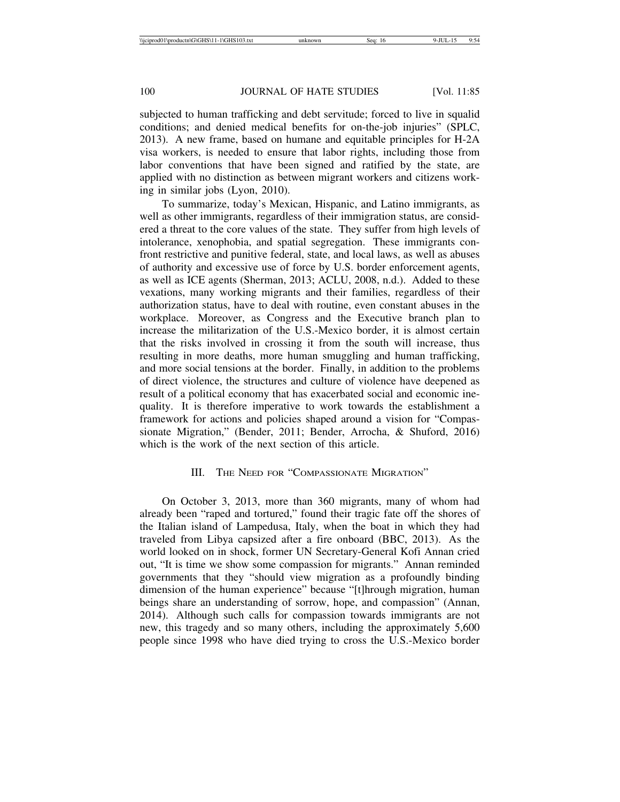subjected to human trafficking and debt servitude; forced to live in squalid conditions; and denied medical benefits for on-the-job injuries" (SPLC, 2013). A new frame, based on humane and equitable principles for H-2A visa workers, is needed to ensure that labor rights, including those from labor conventions that have been signed and ratified by the state, are applied with no distinction as between migrant workers and citizens working in similar jobs (Lyon, 2010).

To summarize, today's Mexican, Hispanic, and Latino immigrants, as well as other immigrants, regardless of their immigration status, are considered a threat to the core values of the state. They suffer from high levels of intolerance, xenophobia, and spatial segregation. These immigrants confront restrictive and punitive federal, state, and local laws, as well as abuses of authority and excessive use of force by U.S. border enforcement agents, as well as ICE agents (Sherman, 2013; ACLU, 2008, n.d.). Added to these vexations, many working migrants and their families, regardless of their authorization status, have to deal with routine, even constant abuses in the workplace. Moreover, as Congress and the Executive branch plan to increase the militarization of the U.S.-Mexico border, it is almost certain that the risks involved in crossing it from the south will increase, thus resulting in more deaths, more human smuggling and human trafficking, and more social tensions at the border. Finally, in addition to the problems of direct violence, the structures and culture of violence have deepened as result of a political economy that has exacerbated social and economic inequality. It is therefore imperative to work towards the establishment a framework for actions and policies shaped around a vision for "Compassionate Migration," (Bender, 2011; Bender, Arrocha, & Shuford, 2016) which is the work of the next section of this article.

## III. THE NEED FOR "COMPASSIONATE MIGRATION"

On October 3, 2013, more than 360 migrants, many of whom had already been "raped and tortured," found their tragic fate off the shores of the Italian island of Lampedusa, Italy, when the boat in which they had traveled from Libya capsized after a fire onboard (BBC, 2013). As the world looked on in shock, former UN Secretary-General Kofi Annan cried out, "It is time we show some compassion for migrants." Annan reminded governments that they "should view migration as a profoundly binding dimension of the human experience" because "[t]hrough migration, human beings share an understanding of sorrow, hope, and compassion" (Annan, 2014). Although such calls for compassion towards immigrants are not new, this tragedy and so many others, including the approximately 5,600 people since 1998 who have died trying to cross the U.S.-Mexico border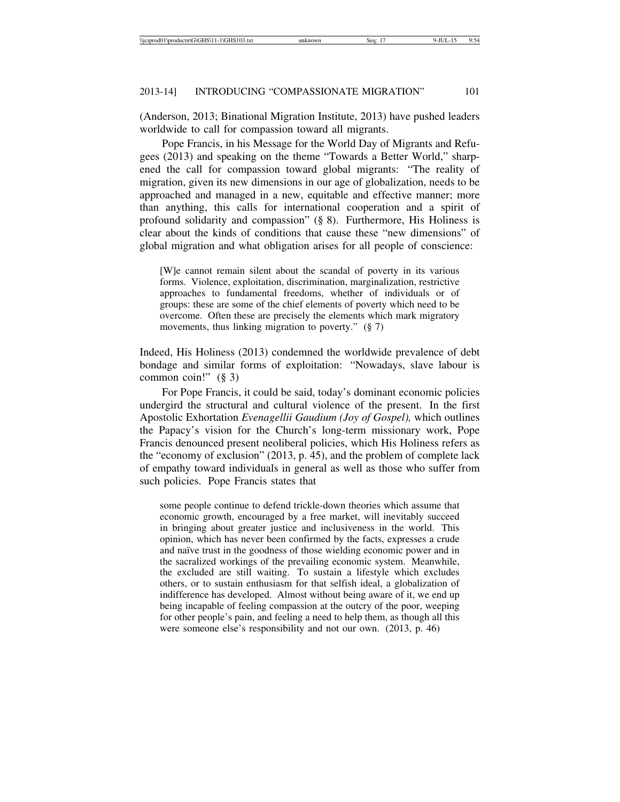(Anderson, 2013; Binational Migration Institute, 2013) have pushed leaders worldwide to call for compassion toward all migrants.

Pope Francis, in his Message for the World Day of Migrants and Refugees (2013) and speaking on the theme "Towards a Better World," sharpened the call for compassion toward global migrants: "The reality of migration, given its new dimensions in our age of globalization, needs to be approached and managed in a new, equitable and effective manner; more than anything, this calls for international cooperation and a spirit of profound solidarity and compassion" (§ 8). Furthermore, His Holiness is clear about the kinds of conditions that cause these "new dimensions" of global migration and what obligation arises for all people of conscience:

[W]e cannot remain silent about the scandal of poverty in its various forms. Violence, exploitation, discrimination, marginalization, restrictive approaches to fundamental freedoms, whether of individuals or of groups: these are some of the chief elements of poverty which need to be overcome. Often these are precisely the elements which mark migratory movements, thus linking migration to poverty." (§ 7)

Indeed, His Holiness (2013) condemned the worldwide prevalence of debt bondage and similar forms of exploitation: "Nowadays, slave labour is common coin!" (§ 3)

For Pope Francis, it could be said, today's dominant economic policies undergird the structural and cultural violence of the present. In the first Apostolic Exhortation *Evenagellii Gaudium (Joy of Gospel),* which outlines the Papacy's vision for the Church's long-term missionary work, Pope Francis denounced present neoliberal policies, which His Holiness refers as the "economy of exclusion" (2013, p. 45), and the problem of complete lack of empathy toward individuals in general as well as those who suffer from such policies. Pope Francis states that

some people continue to defend trickle-down theories which assume that economic growth, encouraged by a free market, will inevitably succeed in bringing about greater justice and inclusiveness in the world. This opinion, which has never been confirmed by the facts, expresses a crude and naïve trust in the goodness of those wielding economic power and in the sacralized workings of the prevailing economic system. Meanwhile, the excluded are still waiting. To sustain a lifestyle which excludes others, or to sustain enthusiasm for that selfish ideal, a globalization of indifference has developed. Almost without being aware of it, we end up being incapable of feeling compassion at the outcry of the poor, weeping for other people's pain, and feeling a need to help them, as though all this were someone else's responsibility and not our own. (2013, p. 46)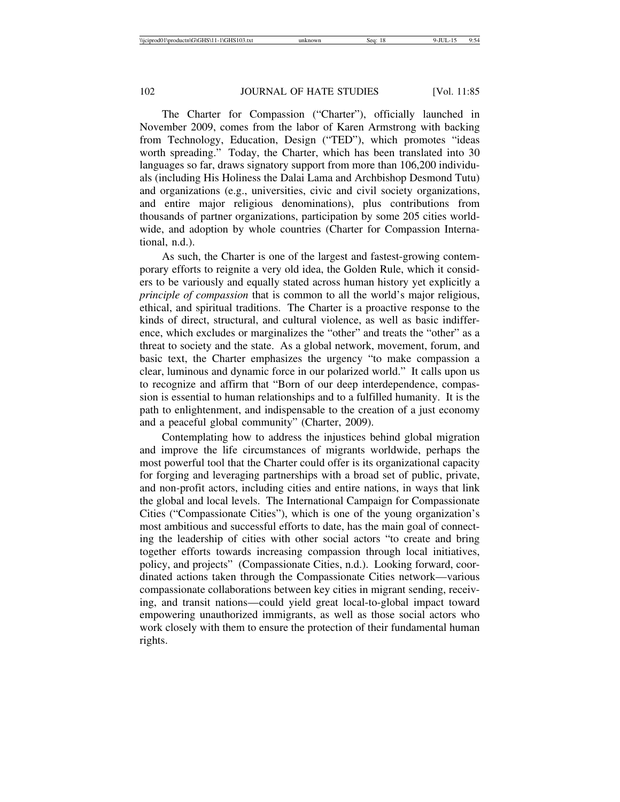The Charter for Compassion ("Charter"), officially launched in November 2009, comes from the labor of Karen Armstrong with backing from Technology, Education, Design ("TED"), which promotes "ideas worth spreading." Today, the Charter, which has been translated into 30 languages so far, draws signatory support from more than 106,200 individuals (including His Holiness the Dalai Lama and Archbishop Desmond Tutu) and organizations (e.g., universities, civic and civil society organizations, and entire major religious denominations), plus contributions from thousands of partner organizations, participation by some 205 cities worldwide, and adoption by whole countries (Charter for Compassion International, n.d.).

As such, the Charter is one of the largest and fastest-growing contemporary efforts to reignite a very old idea, the Golden Rule, which it considers to be variously and equally stated across human history yet explicitly a *principle of compassion* that is common to all the world's major religious, ethical, and spiritual traditions. The Charter is a proactive response to the kinds of direct, structural, and cultural violence, as well as basic indifference, which excludes or marginalizes the "other" and treats the "other" as a threat to society and the state. As a global network, movement, forum, and basic text, the Charter emphasizes the urgency "to make compassion a clear, luminous and dynamic force in our polarized world." It calls upon us to recognize and affirm that "Born of our deep interdependence, compassion is essential to human relationships and to a fulfilled humanity. It is the path to enlightenment, and indispensable to the creation of a just economy and a peaceful global community" (Charter, 2009).

Contemplating how to address the injustices behind global migration and improve the life circumstances of migrants worldwide, perhaps the most powerful tool that the Charter could offer is its organizational capacity for forging and leveraging partnerships with a broad set of public, private, and non-profit actors, including cities and entire nations, in ways that link the global and local levels. The International Campaign for Compassionate Cities ("Compassionate Cities"), which is one of the young organization's most ambitious and successful efforts to date, has the main goal of connecting the leadership of cities with other social actors "to create and bring together efforts towards increasing compassion through local initiatives, policy, and projects" (Compassionate Cities, n.d.). Looking forward, coordinated actions taken through the Compassionate Cities network—various compassionate collaborations between key cities in migrant sending, receiving, and transit nations—could yield great local-to-global impact toward empowering unauthorized immigrants, as well as those social actors who work closely with them to ensure the protection of their fundamental human rights.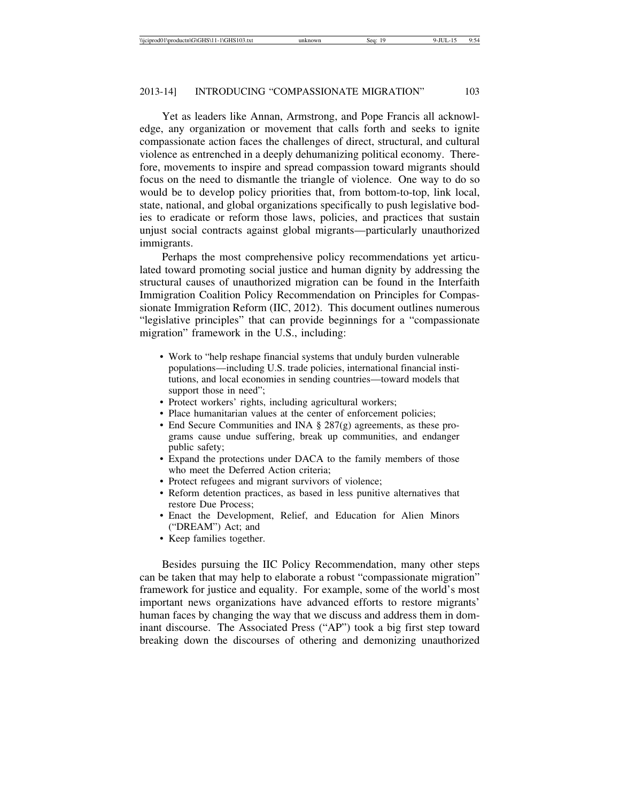Yet as leaders like Annan, Armstrong, and Pope Francis all acknowledge, any organization or movement that calls forth and seeks to ignite compassionate action faces the challenges of direct, structural, and cultural violence as entrenched in a deeply dehumanizing political economy. Therefore, movements to inspire and spread compassion toward migrants should focus on the need to dismantle the triangle of violence. One way to do so would be to develop policy priorities that, from bottom-to-top, link local, state, national, and global organizations specifically to push legislative bodies to eradicate or reform those laws, policies, and practices that sustain unjust social contracts against global migrants—particularly unauthorized immigrants.

Perhaps the most comprehensive policy recommendations yet articulated toward promoting social justice and human dignity by addressing the structural causes of unauthorized migration can be found in the Interfaith Immigration Coalition Policy Recommendation on Principles for Compassionate Immigration Reform (IIC, 2012). This document outlines numerous "legislative principles" that can provide beginnings for a "compassionate migration" framework in the U.S., including:

- Work to "help reshape financial systems that unduly burden vulnerable populations—including U.S. trade policies, international financial institutions, and local economies in sending countries—toward models that support those in need";
- Protect workers' rights, including agricultural workers;
- Place humanitarian values at the center of enforcement policies;
- End Secure Communities and INA § 287(g) agreements, as these programs cause undue suffering, break up communities, and endanger public safety;
- Expand the protections under DACA to the family members of those who meet the Deferred Action criteria;
- Protect refugees and migrant survivors of violence;
- Reform detention practices, as based in less punitive alternatives that restore Due Process;
- Enact the Development, Relief, and Education for Alien Minors ("DREAM") Act; and
- Keep families together.

Besides pursuing the IIC Policy Recommendation, many other steps can be taken that may help to elaborate a robust "compassionate migration" framework for justice and equality. For example, some of the world's most important news organizations have advanced efforts to restore migrants' human faces by changing the way that we discuss and address them in dominant discourse. The Associated Press ("AP") took a big first step toward breaking down the discourses of othering and demonizing unauthorized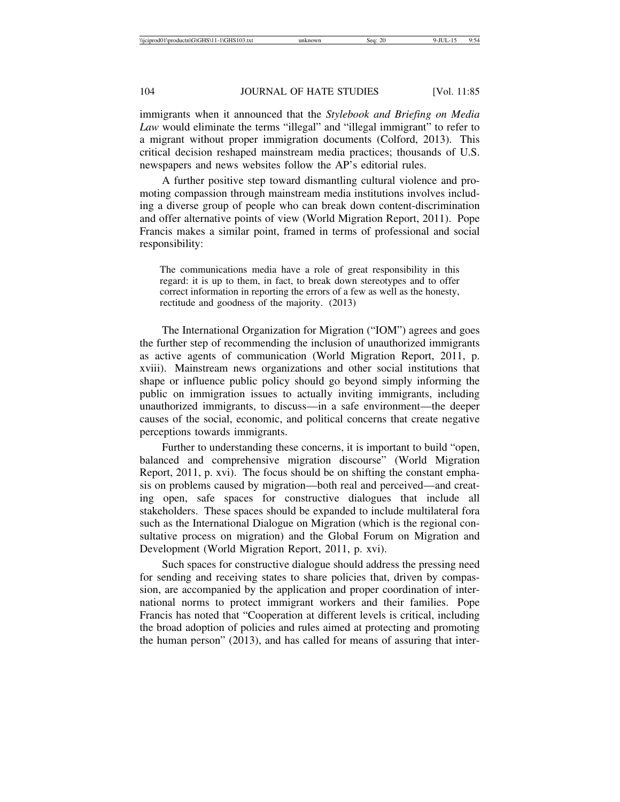immigrants when it announced that the *Stylebook and Briefing on Media Law* would eliminate the terms "illegal" and "illegal immigrant" to refer to a migrant without proper immigration documents (Colford, 2013). This critical decision reshaped mainstream media practices; thousands of U.S. newspapers and news websites follow the AP's editorial rules.

A further positive step toward dismantling cultural violence and promoting compassion through mainstream media institutions involves including a diverse group of people who can break down content-discrimination and offer alternative points of view (World Migration Report, 2011). Pope Francis makes a similar point, framed in terms of professional and social responsibility:

The communications media have a role of great responsibility in this regard: it is up to them, in fact, to break down stereotypes and to offer correct information in reporting the errors of a few as well as the honesty, rectitude and goodness of the majority. (2013)

The International Organization for Migration ("IOM") agrees and goes the further step of recommending the inclusion of unauthorized immigrants as active agents of communication (World Migration Report, 2011, p. xviii). Mainstream news organizations and other social institutions that shape or influence public policy should go beyond simply informing the public on immigration issues to actually inviting immigrants, including unauthorized immigrants, to discuss—in a safe environment—the deeper causes of the social, economic, and political concerns that create negative perceptions towards immigrants.

Further to understanding these concerns, it is important to build "open, balanced and comprehensive migration discourse" (World Migration Report, 2011, p. xvi). The focus should be on shifting the constant emphasis on problems caused by migration—both real and perceived—and creating open, safe spaces for constructive dialogues that include all stakeholders. These spaces should be expanded to include multilateral fora such as the International Dialogue on Migration (which is the regional consultative process on migration) and the Global Forum on Migration and Development (World Migration Report, 2011, p. xvi).

Such spaces for constructive dialogue should address the pressing need for sending and receiving states to share policies that, driven by compassion, are accompanied by the application and proper coordination of international norms to protect immigrant workers and their families. Pope Francis has noted that "Cooperation at different levels is critical, including the broad adoption of policies and rules aimed at protecting and promoting the human person" (2013), and has called for means of assuring that inter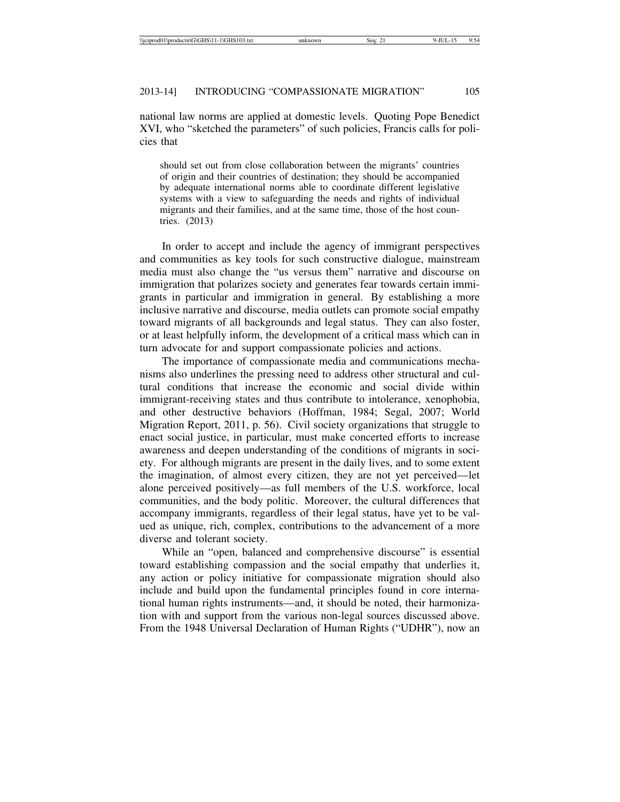national law norms are applied at domestic levels. Quoting Pope Benedict XVI, who "sketched the parameters" of such policies, Francis calls for policies that

should set out from close collaboration between the migrants' countries of origin and their countries of destination; they should be accompanied by adequate international norms able to coordinate different legislative systems with a view to safeguarding the needs and rights of individual migrants and their families, and at the same time, those of the host countries. (2013)

In order to accept and include the agency of immigrant perspectives and communities as key tools for such constructive dialogue, mainstream media must also change the "us versus them" narrative and discourse on immigration that polarizes society and generates fear towards certain immigrants in particular and immigration in general. By establishing a more inclusive narrative and discourse, media outlets can promote social empathy toward migrants of all backgrounds and legal status. They can also foster, or at least helpfully inform, the development of a critical mass which can in turn advocate for and support compassionate policies and actions.

The importance of compassionate media and communications mechanisms also underlines the pressing need to address other structural and cultural conditions that increase the economic and social divide within immigrant-receiving states and thus contribute to intolerance, xenophobia, and other destructive behaviors (Hoffman, 1984; Segal, 2007; World Migration Report, 2011, p. 56). Civil society organizations that struggle to enact social justice, in particular, must make concerted efforts to increase awareness and deepen understanding of the conditions of migrants in society. For although migrants are present in the daily lives, and to some extent the imagination, of almost every citizen, they are not yet perceived—let alone perceived positively—as full members of the U.S. workforce, local communities, and the body politic. Moreover, the cultural differences that accompany immigrants, regardless of their legal status, have yet to be valued as unique, rich, complex, contributions to the advancement of a more diverse and tolerant society.

While an "open, balanced and comprehensive discourse" is essential toward establishing compassion and the social empathy that underlies it, any action or policy initiative for compassionate migration should also include and build upon the fundamental principles found in core international human rights instruments—and, it should be noted, their harmonization with and support from the various non-legal sources discussed above. From the 1948 Universal Declaration of Human Rights ("UDHR"), now an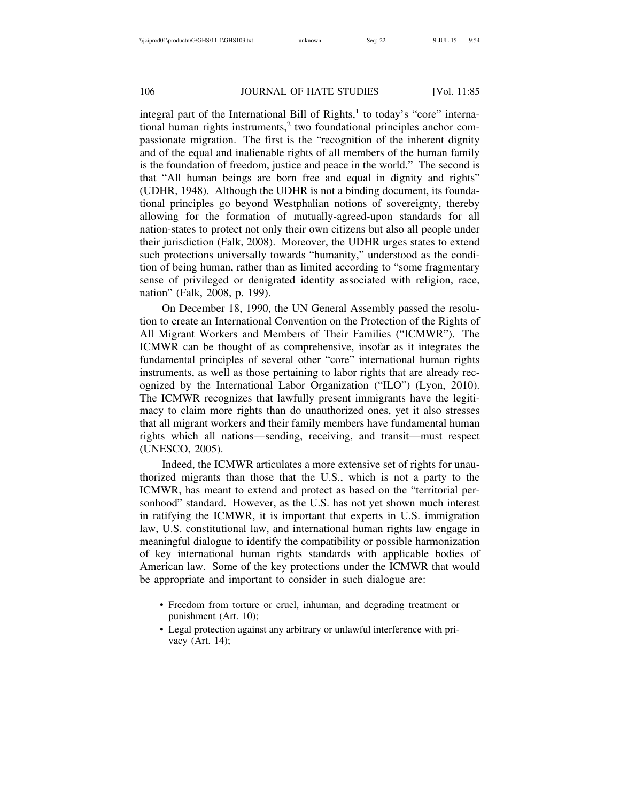integral part of the International Bill of Rights,<sup>1</sup> to today's "core" international human rights instruments,<sup>2</sup> two foundational principles anchor compassionate migration. The first is the "recognition of the inherent dignity and of the equal and inalienable rights of all members of the human family is the foundation of freedom, justice and peace in the world." The second is that "All human beings are born free and equal in dignity and rights" (UDHR, 1948). Although the UDHR is not a binding document, its foundational principles go beyond Westphalian notions of sovereignty, thereby allowing for the formation of mutually-agreed-upon standards for all nation-states to protect not only their own citizens but also all people under their jurisdiction (Falk, 2008). Moreover, the UDHR urges states to extend such protections universally towards "humanity," understood as the condition of being human, rather than as limited according to "some fragmentary sense of privileged or denigrated identity associated with religion, race, nation" (Falk, 2008, p. 199).

On December 18, 1990, the UN General Assembly passed the resolution to create an International Convention on the Protection of the Rights of All Migrant Workers and Members of Their Families ("ICMWR"). The ICMWR can be thought of as comprehensive, insofar as it integrates the fundamental principles of several other "core" international human rights instruments, as well as those pertaining to labor rights that are already recognized by the International Labor Organization ("ILO") (Lyon, 2010). The ICMWR recognizes that lawfully present immigrants have the legitimacy to claim more rights than do unauthorized ones, yet it also stresses that all migrant workers and their family members have fundamental human rights which all nations—sending, receiving, and transit—must respect (UNESCO, 2005).

Indeed, the ICMWR articulates a more extensive set of rights for unauthorized migrants than those that the U.S., which is not a party to the ICMWR, has meant to extend and protect as based on the "territorial personhood" standard. However, as the U.S. has not yet shown much interest in ratifying the ICMWR, it is important that experts in U.S. immigration law, U.S. constitutional law, and international human rights law engage in meaningful dialogue to identify the compatibility or possible harmonization of key international human rights standards with applicable bodies of American law. Some of the key protections under the ICMWR that would be appropriate and important to consider in such dialogue are:

- Freedom from torture or cruel, inhuman, and degrading treatment or punishment (Art. 10);
- Legal protection against any arbitrary or unlawful interference with privacy (Art. 14);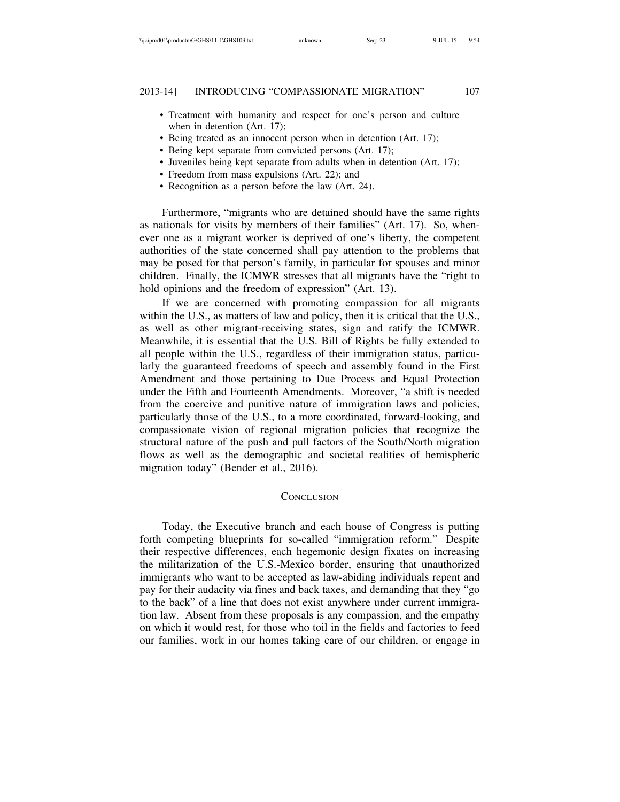- Treatment with humanity and respect for one's person and culture when in detention (Art. 17);
- Being treated as an innocent person when in detention (Art. 17);
- Being kept separate from convicted persons (Art. 17);
- Juveniles being kept separate from adults when in detention (Art. 17);
- Freedom from mass expulsions (Art. 22); and
- Recognition as a person before the law (Art. 24).

Furthermore, "migrants who are detained should have the same rights as nationals for visits by members of their families" (Art. 17). So, whenever one as a migrant worker is deprived of one's liberty, the competent authorities of the state concerned shall pay attention to the problems that may be posed for that person's family, in particular for spouses and minor children. Finally, the ICMWR stresses that all migrants have the "right to hold opinions and the freedom of expression" (Art. 13).

If we are concerned with promoting compassion for all migrants within the U.S., as matters of law and policy, then it is critical that the U.S., as well as other migrant-receiving states, sign and ratify the ICMWR. Meanwhile, it is essential that the U.S. Bill of Rights be fully extended to all people within the U.S., regardless of their immigration status, particularly the guaranteed freedoms of speech and assembly found in the First Amendment and those pertaining to Due Process and Equal Protection under the Fifth and Fourteenth Amendments. Moreover, "a shift is needed from the coercive and punitive nature of immigration laws and policies, particularly those of the U.S., to a more coordinated, forward-looking, and compassionate vision of regional migration policies that recognize the structural nature of the push and pull factors of the South/North migration flows as well as the demographic and societal realities of hemispheric migration today" (Bender et al., 2016).

### **CONCLUSION**

Today, the Executive branch and each house of Congress is putting forth competing blueprints for so-called "immigration reform." Despite their respective differences, each hegemonic design fixates on increasing the militarization of the U.S.-Mexico border, ensuring that unauthorized immigrants who want to be accepted as law-abiding individuals repent and pay for their audacity via fines and back taxes, and demanding that they "go to the back" of a line that does not exist anywhere under current immigration law. Absent from these proposals is any compassion, and the empathy on which it would rest, for those who toil in the fields and factories to feed our families, work in our homes taking care of our children, or engage in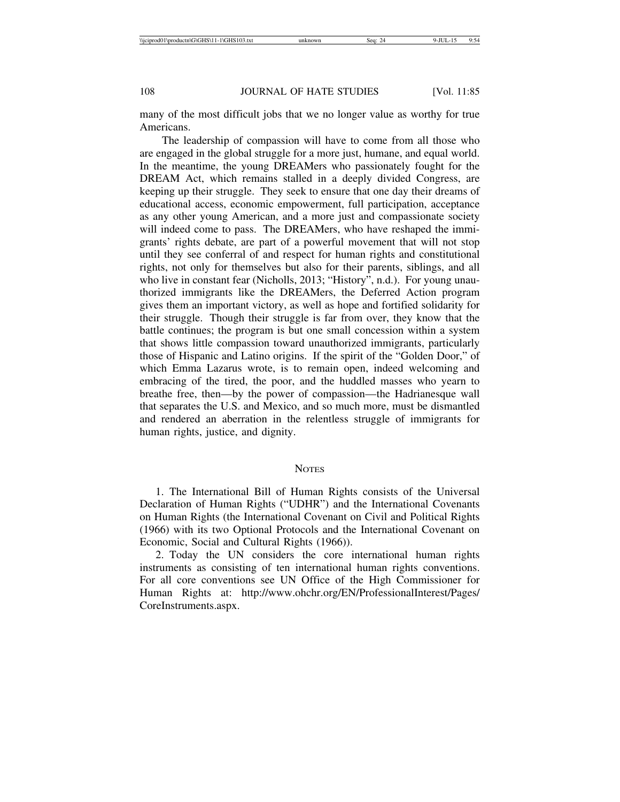many of the most difficult jobs that we no longer value as worthy for true Americans.

The leadership of compassion will have to come from all those who are engaged in the global struggle for a more just, humane, and equal world. In the meantime, the young DREAMers who passionately fought for the DREAM Act, which remains stalled in a deeply divided Congress, are keeping up their struggle. They seek to ensure that one day their dreams of educational access, economic empowerment, full participation, acceptance as any other young American, and a more just and compassionate society will indeed come to pass. The DREAMers, who have reshaped the immigrants' rights debate, are part of a powerful movement that will not stop until they see conferral of and respect for human rights and constitutional rights, not only for themselves but also for their parents, siblings, and all who live in constant fear (Nicholls, 2013; "History", n.d.). For young unauthorized immigrants like the DREAMers, the Deferred Action program gives them an important victory, as well as hope and fortified solidarity for their struggle. Though their struggle is far from over, they know that the battle continues; the program is but one small concession within a system that shows little compassion toward unauthorized immigrants, particularly those of Hispanic and Latino origins. If the spirit of the "Golden Door," of which Emma Lazarus wrote, is to remain open, indeed welcoming and embracing of the tired, the poor, and the huddled masses who yearn to breathe free, then—by the power of compassion—the Hadrianesque wall that separates the U.S. and Mexico, and so much more, must be dismantled and rendered an aberration in the relentless struggle of immigrants for human rights, justice, and dignity.

#### **NOTES**

1. The International Bill of Human Rights consists of the Universal Declaration of Human Rights ("UDHR") and the International Covenants on Human Rights (the International Covenant on Civil and Political Rights (1966) with its two Optional Protocols and the International Covenant on Economic, Social and Cultural Rights (1966)).

2. Today the UN considers the core international human rights instruments as consisting of ten international human rights conventions. For all core conventions see UN Office of the High Commissioner for Human Rights at: http://www.ohchr.org/EN/ProfessionalInterest/Pages/ CoreInstruments.aspx.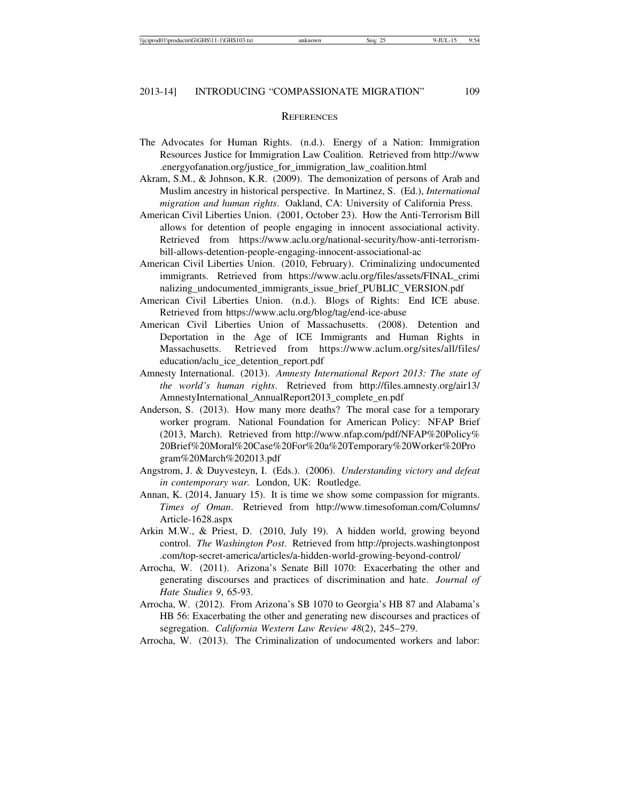#### **REFERENCES**

- The Advocates for Human Rights. (n.d.). Energy of a Nation: Immigration Resources Justice for Immigration Law Coalition. Retrieved from http://www .energyofanation.org/justice\_for\_immigration\_law\_coalition.html
- Akram, S.M., & Johnson, K.R. (2009). The demonization of persons of Arab and Muslim ancestry in historical perspective. In Martinez, S. (Ed.), *International migration and human rights*. Oakland, CA: University of California Press.
- American Civil Liberties Union. (2001, October 23). How the Anti-Terrorism Bill allows for detention of people engaging in innocent associational activity. Retrieved from https://www.aclu.org/national-security/how-anti-terrorismbill-allows-detention-people-engaging-innocent-associational-ac
- American Civil Liberties Union. (2010, February). Criminalizing undocumented immigrants. Retrieved from https://www.aclu.org/files/assets/FINAL\_crimi nalizing\_undocumented\_immigrants\_issue\_brief\_PUBLIC\_VERSION.pdf
- American Civil Liberties Union. (n.d.). Blogs of Rights: End ICE abuse. Retrieved from https://www.aclu.org/blog/tag/end-ice-abuse
- American Civil Liberties Union of Massachusetts. (2008). Detention and Deportation in the Age of ICE Immigrants and Human Rights in Massachusetts. Retrieved from https://www.aclum.org/sites/all/files/ education/aclu\_ice\_detention\_report.pdf
- Amnesty International. (2013). *Amnesty International Report 2013: The state of the world's human rights*. Retrieved from http://files.amnesty.org/air13/ AmnestyInternational\_AnnualReport2013\_complete\_en.pdf
- Anderson, S. (2013). How many more deaths? The moral case for a temporary worker program. National Foundation for American Policy: NFAP Brief (2013, March). Retrieved from http://www.nfap.com/pdf/NFAP%20Policy% 20Brief%20Moral%20Case%20For%20a%20Temporary%20Worker%20Pro gram%20March%202013.pdf
- Angstrom, J. & Duyvesteyn, I. (Eds.). (2006). *Understanding victory and defeat in contemporary war.* London, UK: Routledge.
- Annan, K. (2014, January 15). It is time we show some compassion for migrants. *Times of Oman*. Retrieved from http://www.timesofoman.com/Columns/ Article-1628.aspx
- Arkin M.W., & Priest, D. (2010, July 19). A hidden world, growing beyond control. *The Washington Post*. Retrieved from http://projects.washingtonpost .com/top-secret-america/articles/a-hidden-world-growing-beyond-control/
- Arrocha, W. (2011). Arizona's Senate Bill 1070: Exacerbating the other and generating discourses and practices of discrimination and hate. *Journal of Hate Studies 9*, 65-93.
- Arrocha, W. (2012). From Arizona's SB 1070 to Georgia's HB 87 and Alabama's HB 56: Exacerbating the other and generating new discourses and practices of segregation. *California Western Law Review 48*(2), 245–279.
- Arrocha, W. (2013). The Criminalization of undocumented workers and labor: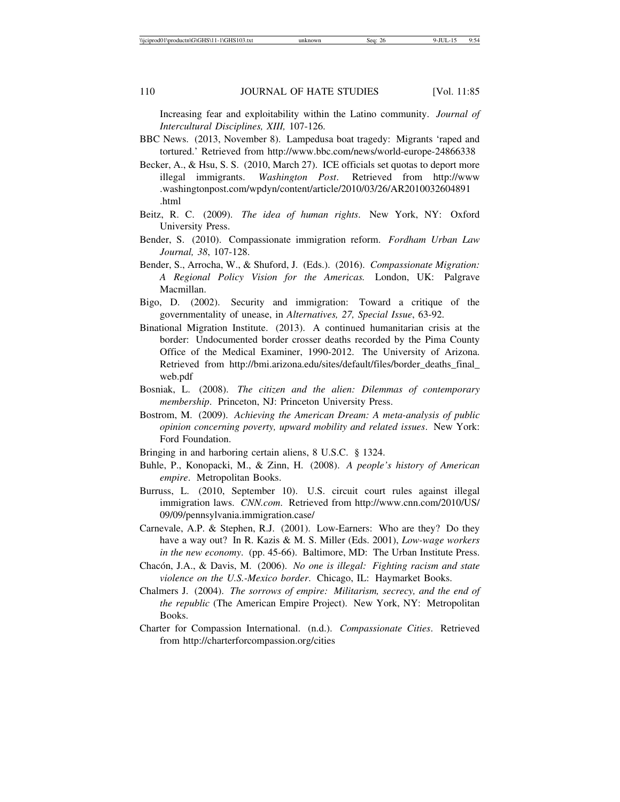Increasing fear and exploitability within the Latino community. *Journal of Intercultural Disciplines, XIII,* 107-126.

- BBC News. (2013, November 8). Lampedusa boat tragedy: Migrants 'raped and tortured.' Retrieved from http://www.bbc.com/news/world-europe-24866338
- Becker, A., & Hsu, S. S. (2010, March 27). ICE officials set quotas to deport more illegal immigrants. *Washington Post*. Retrieved from http://www .washingtonpost.com/wpdyn/content/article/2010/03/26/AR2010032604891 .html
- Beitz, R. C. (2009). *The idea of human rights*. New York, NY: Oxford University Press.
- Bender, S. (2010). Compassionate immigration reform. *Fordham Urban Law Journal, 38*, 107-128.
- Bender, S., Arrocha, W., & Shuford, J. (Eds.). (2016). *Compassionate Migration: A Regional Policy Vision for the Americas.* London, UK: Palgrave Macmillan.
- Bigo, D. (2002). Security and immigration: Toward a critique of the governmentality of unease, in *Alternatives, 27, Special Issue*, 63-92.
- Binational Migration Institute. (2013). A continued humanitarian crisis at the border: Undocumented border crosser deaths recorded by the Pima County Office of the Medical Examiner, 1990-2012. The University of Arizona. Retrieved from http://bmi.arizona.edu/sites/default/files/border\_deaths\_final\_ web.pdf
- Bosniak, L. (2008). *The citizen and the alien: Dilemmas of contemporary membership*. Princeton, NJ: Princeton University Press.
- Bostrom, M. (2009). *Achieving the American Dream: A meta-analysis of public opinion concerning poverty, upward mobility and related issues*. New York: Ford Foundation.
- Bringing in and harboring certain aliens, 8 U.S.C. § 1324.
- Buhle, P., Konopacki, M., & Zinn, H. (2008). *A people's history of American empire*. Metropolitan Books.
- Burruss, L. (2010, September 10). U.S. circuit court rules against illegal immigration laws. *CNN.com*. Retrieved from http://www.cnn.com/2010/US/ 09/09/pennsylvania.immigration.case/
- Carnevale, A.P. & Stephen, R.J. (2001). Low-Earners: Who are they? Do they have a way out? In R. Kazis & M. S. Miller (Eds. 2001), *Low-wage workers in the new economy*. (pp. 45-66). Baltimore, MD: The Urban Institute Press.
- Chacón, J.A., & Davis, M. (2006). *No one is illegal: Fighting racism and state violence on the U.S.-Mexico border*. Chicago, IL: Haymarket Books.
- Chalmers J. (2004). *The sorrows of empire: Militarism, secrecy, and the end of the republic* (The American Empire Project). New York, NY: Metropolitan Books.
- Charter for Compassion International. (n.d.). *Compassionate Cities*. Retrieved from http://charterforcompassion.org/cities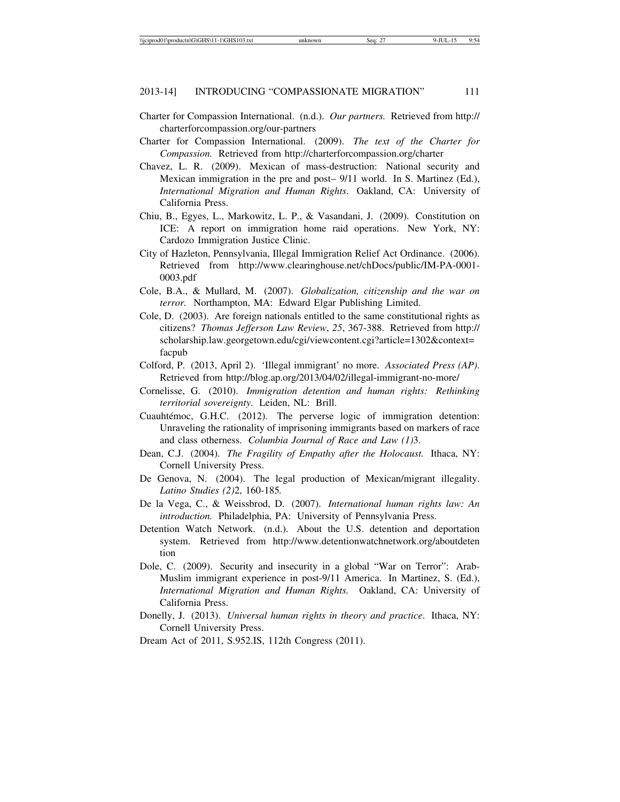- Charter for Compassion International. (n.d.). *Our partners.* Retrieved from http:// charterforcompassion.org/our-partners
- Charter for Compassion International. (2009). *The text of the Charter for Compassion.* Retrieved from http://charterforcompassion.org/charter
- Chavez, L. R. (2009). Mexican of mass-destruction: National security and Mexican immigration in the pre and post– 9/11 world. In S. Martinez (Ed.), *International Migration and Human Rights*. Oakland, CA: University of California Press.
- Chiu, B., Egyes, L., Markowitz, L. P., & Vasandani, J. (2009). Constitution on ICE: A report on immigration home raid operations. New York, NY: Cardozo Immigration Justice Clinic.
- City of Hazleton, Pennsylvania, Illegal Immigration Relief Act Ordinance. (2006). Retrieved from http://www.clearinghouse.net/chDocs/public/IM-PA-0001- 0003.pdf
- Cole, B.A., & Mullard, M. (2007). *Globalization, citizenship and the war on terror.* Northampton, MA: Edward Elgar Publishing Limited.
- Cole, D. (2003). Are foreign nationals entitled to the same constitutional rights as citizens? *Thomas Jefferson Law Review*, *25*, 367-388. Retrieved from http:// scholarship.law.georgetown.edu/cgi/viewcontent.cgi?article=1302&context= facpub
- Colford, P. (2013, April 2). 'Illegal immigrant' no more. *Associated Press (AP)*. Retrieved from http://blog.ap.org/2013/04/02/illegal-immigrant-no-more/
- Cornelisse, G. (2010). *Immigration detention and human rights: Rethinking territorial sovereignty*. Leiden, NL: Brill.
- Cuauhtémoc, G.H.C. (2012). The perverse logic of immigration detention: Unraveling the rationality of imprisoning immigrants based on markers of race and class otherness. *Columbia Journal of Race and Law (1)*3.
- Dean, C.J. (2004). *The Fragility of Empathy after the Holocaust.* Ithaca, NY: Cornell University Press.
- De Genova, N. (2004). The legal production of Mexican/migrant illegality. *Latino Studies (2)*2, 160-185*.*
- De la Vega, C., & Weissbrod, D. (2007). *International human rights law: An introduction.* Philadelphia, PA: University of Pennsylvania Press.
- Detention Watch Network. (n.d.). About the U.S. detention and deportation system. Retrieved from http://www.detentionwatchnetwork.org/aboutdeten tion
- Dole, C. (2009). Security and insecurity in a global "War on Terror": Arab-Muslim immigrant experience in post-9/11 America. In Martinez, S. (Ed.), *International Migration and Human Rights.* Oakland, CA: University of California Press.
- Donelly, J. (2013). *Universal human rights in theory and practice*. Ithaca, NY: Cornell University Press.
- Dream Act of 2011, S.952.IS, 112th Congress (2011).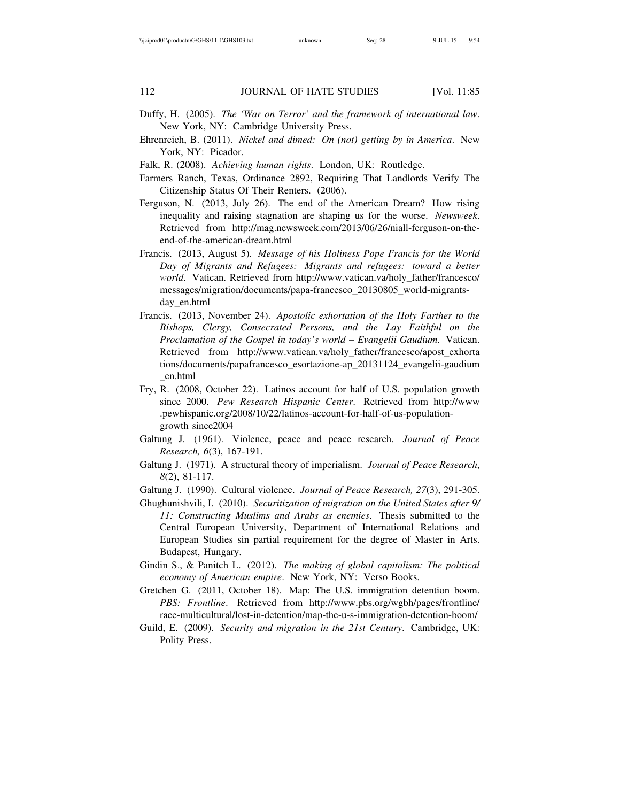- Duffy, H. (2005). *The 'War on Terror' and the framework of international law*. New York, NY: Cambridge University Press.
- Ehrenreich, B. (2011). *Nickel and dimed: On (not) getting by in America*. New York, NY: Picador.
- Falk, R. (2008). *Achieving human rights*. London, UK: Routledge.
- Farmers Ranch, Texas, Ordinance 2892, Requiring That Landlords Verify The Citizenship Status Of Their Renters. (2006).
- Ferguson, N. (2013, July 26). The end of the American Dream? How rising inequality and raising stagnation are shaping us for the worse. *Newsweek*. Retrieved from http://mag.newsweek.com/2013/06/26/niall-ferguson-on-theend-of-the-american-dream.html
- Francis. (2013, August 5). *Message of his Holiness Pope Francis for the World Day of Migrants and Refugees: Migrants and refugees: toward a better world*. Vatican. Retrieved from http://www.vatican.va/holy\_father/francesco/ messages/migration/documents/papa-francesco\_20130805\_world-migrantsday\_en.html
- Francis. (2013, November 24). *Apostolic exhortation of the Holy Farther to the Bishops, Clergy, Consecrated Persons, and the Lay Faithful on the Proclamation of the Gospel in today's world* – *Evangelii Gaudium*. Vatican. Retrieved from http://www.vatican.va/holy\_father/francesco/apost\_exhorta tions/documents/papafrancesco\_esortazione-ap\_20131124\_evangelii-gaudium \_en.html
- Fry, R. (2008, October 22). Latinos account for half of U.S. population growth since 2000. *Pew Research Hispanic Center*. Retrieved from http://www .pewhispanic.org/2008/10/22/latinos-account-for-half-of-us-populationgrowth since2004
- Galtung J. (1961). Violence, peace and peace research. *Journal of Peace Research, 6*(3), 167-191.
- Galtung J. (1971). A structural theory of imperialism. *Journal of Peace Research*, *8*(2), 81-117.
- Galtung J. (1990). Cultural violence. *Journal of Peace Research, 27*(3), 291-305.
- Ghughunishvili, I. (2010). *Securitization of migration on the United States after 9/ 11: Constructing Muslims and Arabs as enemies*. Thesis submitted to the Central European University, Department of International Relations and European Studies sin partial requirement for the degree of Master in Arts. Budapest, Hungary.
- Gindin S., & Panitch L. (2012). *The making of global capitalism: The political economy of American empire*. New York, NY: Verso Books.
- Gretchen G. (2011, October 18). Map: The U.S. immigration detention boom. *PBS: Frontline*. Retrieved from http://www.pbs.org/wgbh/pages/frontline/ race-multicultural/lost-in-detention/map-the-u-s-immigration-detention-boom/
- Guild, E. (2009). *Security and migration in the 21st Century*. Cambridge, UK: Polity Press.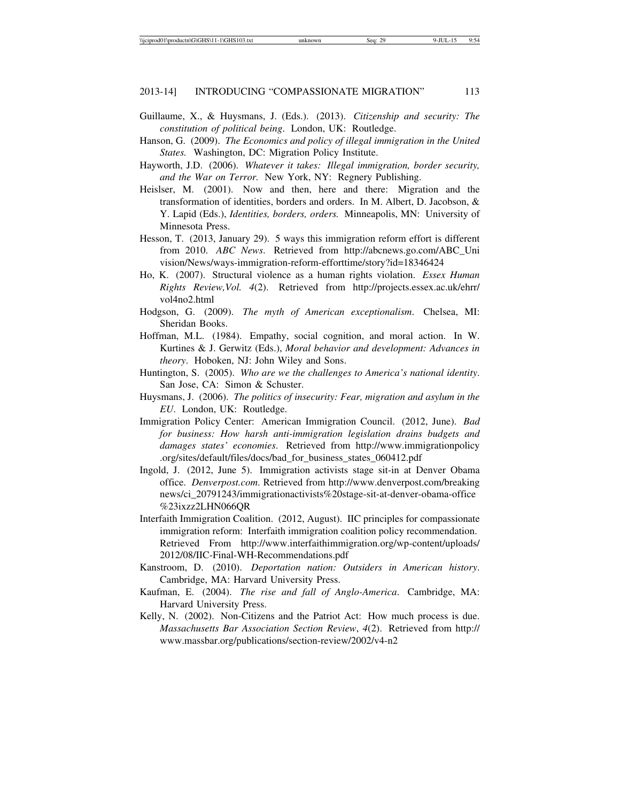- Guillaume, X., & Huysmans, J. (Eds.). (2013). *Citizenship and security: The constitution of political being*. London, UK: Routledge.
- Hanson, G. (2009). *The Economics and policy of illegal immigration in the United States.* Washington, DC: Migration Policy Institute.
- Hayworth, J.D. (2006). *Whatever it takes: Illegal immigration, border security, and the War on Terror.* New York, NY: Regnery Publishing.
- Heislser, M. (2001). Now and then, here and there: Migration and the transformation of identities, borders and orders. In M. Albert, D. Jacobson, & Y. Lapid (Eds.), *Identities, borders, orders.* Minneapolis, MN: University of Minnesota Press.
- Hesson, T. (2013, January 29). 5 ways this immigration reform effort is different from 2010. *ABC News*. Retrieved from http://abcnews.go.com/ABC\_Uni vision/News/ways-immigration-reform-efforttime/story?id=18346424
- Ho, K. (2007). Structural violence as a human rights violation. *Essex Human Rights Review,Vol. 4*(2). Retrieved from http://projects.essex.ac.uk/ehrr/ vol4no2.html
- Hodgson, G. (2009). *The myth of American exceptionalism*. Chelsea, MI: Sheridan Books.
- Hoffman, M.L. (1984). Empathy, social cognition, and moral action. In W. Kurtines & J. Gerwitz (Eds.), *Moral behavior and development: Advances in theory*. Hoboken, NJ: John Wiley and Sons.
- Huntington, S. (2005). *Who are we the challenges to America's national identity*. San Jose, CA: Simon & Schuster.
- Huysmans, J. (2006). *The politics of insecurity: Fear, migration and asylum in the EU*. London, UK: Routledge.
- Immigration Policy Center: American Immigration Council. (2012, June). *Bad for business: How harsh anti-immigration legislation drains budgets and damages states' economies*. Retrieved from http://www.immigrationpolicy .org/sites/default/files/docs/bad\_for\_business\_states\_060412.pdf
- Ingold, J. (2012, June 5). Immigration activists stage sit-in at Denver Obama office. *Denverpost.com*. Retrieved from http://www.denverpost.com/breaking news/ci\_20791243/immigrationactivists%20stage-sit-at-denver-obama-office %23ixzz2LHN066QR
- Interfaith Immigration Coalition. (2012, August). IIC principles for compassionate immigration reform: Interfaith immigration coalition policy recommendation. Retrieved From http://www.interfaithimmigration.org/wp-content/uploads/ 2012/08/IIC-Final-WH-Recommendations.pdf
- Kanstroom, D. (2010). *Deportation nation: Outsiders in American history*. Cambridge, MA: Harvard University Press.
- Kaufman, E. (2004). *The rise and fall of Anglo-America*. Cambridge, MA: Harvard University Press.
- Kelly, N. (2002). Non-Citizens and the Patriot Act: How much process is due. *Massachusetts Bar Association Section Review*, *4*(2). Retrieved from http:// www.massbar.org/publications/section-review/2002/v4-n2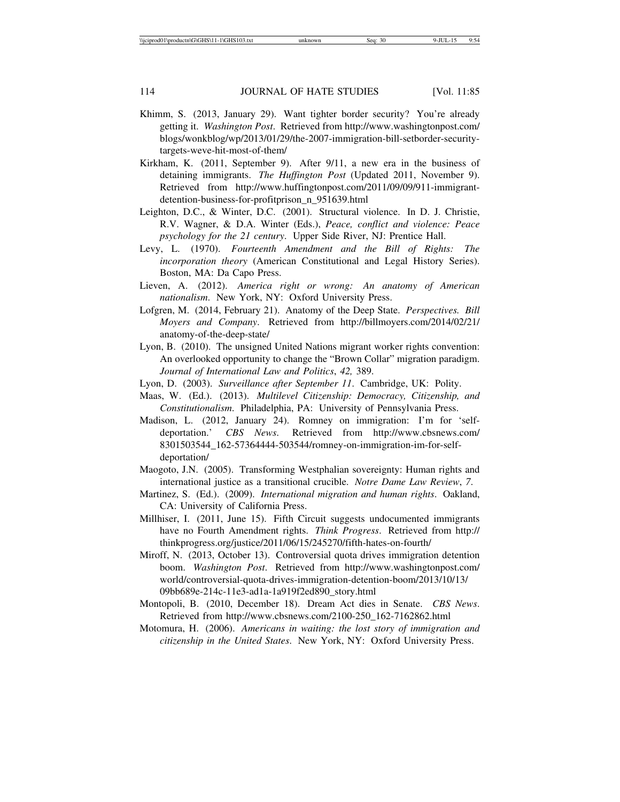- Khimm, S. (2013, January 29). Want tighter border security? You're already getting it. *Washington Post*. Retrieved from http://www.washingtonpost.com/ blogs/wonkblog/wp/2013/01/29/the-2007-immigration-bill-setborder-securitytargets-weve-hit-most-of-them/
- Kirkham, K. (2011, September 9). After 9/11, a new era in the business of detaining immigrants. *The Huffington Post* (Updated 2011, November 9). Retrieved from http://www.huffingtonpost.com/2011/09/09/911-immigrantdetention-business-for-profitprison\_n\_951639.html
- Leighton, D.C., & Winter, D.C. (2001). Structural violence. In D. J. Christie, R.V. Wagner, & D.A. Winter (Eds.), *Peace, conflict and violence: Peace psychology for the 21 century*. Upper Side River, NJ: Prentice Hall.
- Levy, L. (1970). *Fourteenth Amendment and the Bill of Rights: The incorporation theory* (American Constitutional and Legal History Series). Boston, MA: Da Capo Press.
- Lieven, A. (2012). *America right or wrong: An anatomy of American nationalism*. New York, NY: Oxford University Press.
- Lofgren, M. (2014, February 21). Anatomy of the Deep State. *Perspectives. Bill Moyers and Company*. Retrieved from http://billmoyers.com/2014/02/21/ anatomy-of-the-deep-state/
- Lyon, B. (2010). The unsigned United Nations migrant worker rights convention: An overlooked opportunity to change the "Brown Collar" migration paradigm. *Journal of International Law and Politics*, *42,* 389.
- Lyon, D. (2003). *Surveillance after September 11*. Cambridge, UK: Polity.
- Maas, W. (Ed.). (2013). *Multilevel Citizenship: Democracy, Citizenship, and Constitutionalism*. Philadelphia, PA: University of Pennsylvania Press.
- Madison, L. (2012, January 24). Romney on immigration: I'm for 'selfdeportation.' *CBS News*. Retrieved from http://www.cbsnews.com/ 8301503544\_162-57364444-503544/romney-on-immigration-im-for-selfdeportation/
- Maogoto, J.N. (2005). Transforming Westphalian sovereignty: Human rights and international justice as a transitional crucible. *Notre Dame Law Review*, *7*.
- Martinez, S. (Ed.). (2009). *International migration and human rights*. Oakland, CA: University of California Press.
- Millhiser, I. (2011, June 15). Fifth Circuit suggests undocumented immigrants have no Fourth Amendment rights. *Think Progress*. Retrieved from http:// thinkprogress.org/justice/2011/06/15/245270/fifth-hates-on-fourth/
- Miroff, N. (2013, October 13). Controversial quota drives immigration detention boom. *Washington Post*. Retrieved from http://www.washingtonpost.com/ world/controversial-quota-drives-immigration-detention-boom/2013/10/13/ 09bb689e-214c-11e3-ad1a-1a919f2ed890\_story.html
- Montopoli, B. (2010, December 18). Dream Act dies in Senate. *CBS News*. Retrieved from http://www.cbsnews.com/2100-250\_162-7162862.html
- Motomura, H. (2006). *Americans in waiting: the lost story of immigration and citizenship in the United States*. New York, NY: Oxford University Press.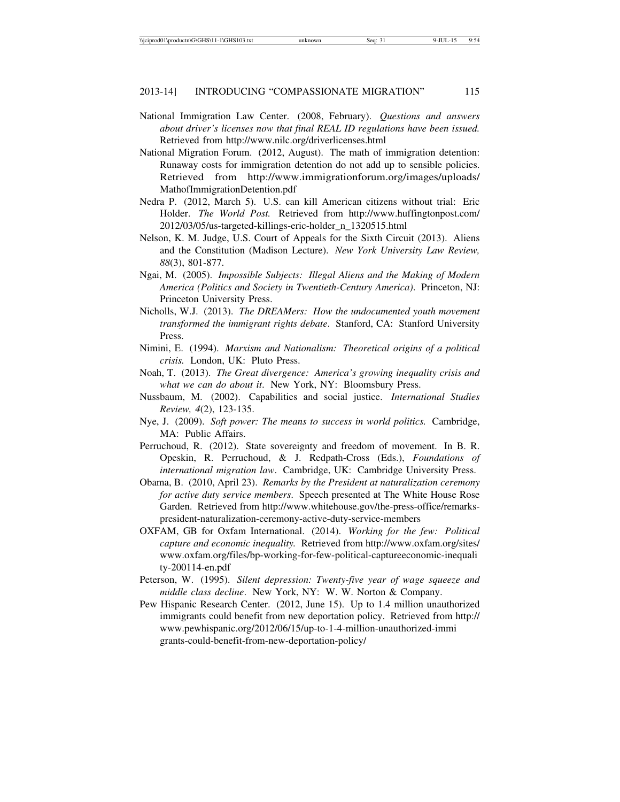- National Immigration Law Center. (2008, February). *Questions and answers about driver's licenses now that final REAL ID regulations have been issued.* Retrieved from http://www.nilc.org/driverlicenses.html
- National Migration Forum. (2012, August). The math of immigration detention: Runaway costs for immigration detention do not add up to sensible policies. Retrieved from http://www.immigrationforum.org/images/uploads/ MathofImmigrationDetention.pdf
- Nedra P. (2012, March 5). U.S. can kill American citizens without trial: Eric Holder. *The World Post.* Retrieved from http://www.huffingtonpost.com/ 2012/03/05/us-targeted-killings-eric-holder\_n\_1320515.html
- Nelson, K. M. Judge, U.S. Court of Appeals for the Sixth Circuit (2013). Aliens and the Constitution (Madison Lecture). *New York University Law Review, 88*(3), 801-877.
- Ngai, M. (2005). *Impossible Subjects: Illegal Aliens and the Making of Modern America (Politics and Society in Twentieth-Century America)*. Princeton, NJ: Princeton University Press.
- Nicholls, W.J. (2013). *The DREAMers: How the undocumented youth movement transformed the immigrant rights debate*. Stanford, CA: Stanford University Press.
- Nimini, E. (1994). *Marxism and Nationalism: Theoretical origins of a political crisis.* London, UK: Pluto Press.
- Noah, T. (2013). *The Great divergence: America's growing inequality crisis and what we can do about it*. New York, NY: Bloomsbury Press.
- Nussbaum, M. (2002). Capabilities and social justice. *International Studies Review, 4*(2), 123-135.
- Nye, J. (2009). *Soft power: The means to success in world politics.* Cambridge, MA: Public Affairs.
- Perruchoud, R. (2012). State sovereignty and freedom of movement. In B. R. Opeskin, R. Perruchoud, & J. Redpath-Cross (Eds.), *Foundations of international migration law*. Cambridge, UK: Cambridge University Press.
- Obama, B. (2010, April 23). *Remarks by the President at naturalization ceremony for active duty service members*. Speech presented at The White House Rose Garden. Retrieved from http://www.whitehouse.gov/the-press-office/remarkspresident-naturalization-ceremony-active-duty-service-members
- OXFAM, GB for Oxfam International. (2014). *Working for the few: Political capture and economic inequality.* Retrieved from http://www.oxfam.org/sites/ www.oxfam.org/files/bp-working-for-few-political-captureeconomic-inequali ty-200114-en.pdf
- Peterson, W. (1995). *Silent depression: Twenty-five year of wage squeeze and middle class decline*. New York, NY: W. W. Norton & Company.
- Pew Hispanic Research Center. (2012, June 15). Up to 1.4 million unauthorized immigrants could benefit from new deportation policy. Retrieved from http:// www.pewhispanic.org/2012/06/15/up-to-1-4-million-unauthorized-immi grants-could-benefit-from-new-deportation-policy/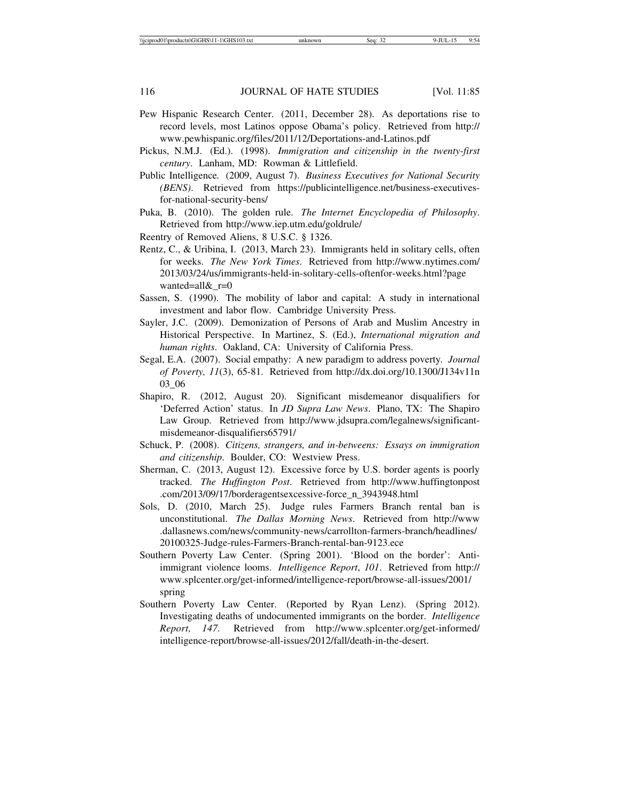- Pew Hispanic Research Center. (2011, December 28). As deportations rise to record levels, most Latinos oppose Obama's policy. Retrieved from http:// www.pewhispanic.org/files/2011/12/Deportations-and-Latinos.pdf
- Pickus, N.M.J. (Ed.). (1998). *Immigration and citizenship in the twenty-first century*. Lanham, MD: Rowman & Littlefield.
- Public Intelligence*.* (2009, August 7). *Business Executives for National Security (BENS)*. Retrieved from https://publicintelligence.net/business-executivesfor-national-security-bens/
- Puka, B. (2010). The golden rule. *The Internet Encyclopedia of Philosophy*. Retrieved from http://www.iep.utm.edu/goldrule/
- Reentry of Removed Aliens, 8 U.S.C. § 1326.
- Rentz, C., & Uribina, I. (2013, March 23). Immigrants held in solitary cells, often for weeks. *The New York Times*. Retrieved from http://www.nytimes.com/ 2013/03/24/us/immigrants-held-in-solitary-cells-oftenfor-weeks.html?page wanted=all&\_r=0
- Sassen, S. (1990). The mobility of labor and capital: A study in international investment and labor flow. Cambridge University Press.
- Sayler, J.C. (2009). Demonization of Persons of Arab and Muslim Ancestry in Historical Perspective. In Martinez, S. (Ed.), *International migration and human rights*. Oakland, CA: University of California Press.
- Segal, E.A. (2007). Social empathy: A new paradigm to address poverty*. Journal of Poverty, 11*(3), 65-81. Retrieved from http://dx.doi.org/10.1300/J134v11n 03\_06
- Shapiro, R. (2012, August 20). Significant misdemeanor disqualifiers for 'Deferred Action' status. In *JD Supra Law News*. Plano, TX: The Shapiro Law Group. Retrieved from http://www.jdsupra.com/legalnews/significantmisdemeanor-disqualifiers65791/
- Schuck, P. (2008). *Citizens, strangers, and in-betweens: Essays on immigration and citizenship*. Boulder, CO: Westview Press.
- Sherman, C. (2013, August 12). Excessive force by U.S. border agents is poorly tracked. *The Huffington Post*. Retrieved from http://www.huffingtonpost .com/2013/09/17/borderagentsexcessive-force\_n\_3943948.html
- Sols, D. (2010, March 25). Judge rules Farmers Branch rental ban is unconstitutional. *The Dallas Morning News*. Retrieved from http://www .dallasnews.com/news/community-news/carrollton-farmers-branch/headlines/ 20100325-Judge-rules-Farmers-Branch-rental-ban-9123.ece
- Southern Poverty Law Center. (Spring 2001). 'Blood on the border': Antiimmigrant violence looms. *Intelligence Report*, *101*. Retrieved from http:// www.splcenter.org/get-informed/intelligence-report/browse-all-issues/2001/ spring
- Southern Poverty Law Center. (Reported by Ryan Lenz). (Spring 2012). Investigating deaths of undocumented immigrants on the border. *Intelligence Report, 147.* Retrieved from http://www.splcenter.org/get-informed/ intelligence-report/browse-all-issues/2012/fall/death-in-the-desert.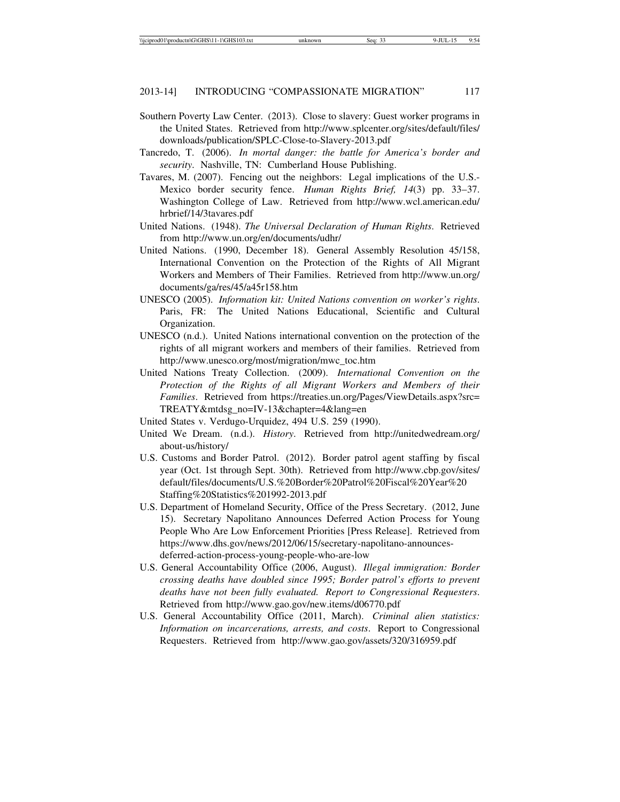- Southern Poverty Law Center. (2013). Close to slavery: Guest worker programs in the United States. Retrieved from http://www.splcenter.org/sites/default/files/ downloads/publication/SPLC-Close-to-Slavery-2013.pdf
- Tancredo, T. (2006). *In mortal danger: the battle for America's border and security*. Nashville, TN: Cumberland House Publishing.
- Tavares, M. (2007). Fencing out the neighbors: Legal implications of the U.S.- Mexico border security fence. *Human Rights Brief, 14*(3) pp. 33–37. Washington College of Law. Retrieved from http://www.wcl.american.edu/ hrbrief/14/3tavares.pdf
- United Nations. (1948). *The Universal Declaration of Human Rights*. Retrieved from http://www.un.org/en/documents/udhr/
- United Nations. (1990, December 18). General Assembly Resolution 45/158, International Convention on the Protection of the Rights of All Migrant Workers and Members of Their Families. Retrieved from http://www.un.org/ documents/ga/res/45/a45r158.htm
- UNESCO (2005). *Information kit: United Nations convention on worker's rights*. Paris, FR: The United Nations Educational, Scientific and Cultural Organization.
- UNESCO (n.d.). United Nations international convention on the protection of the rights of all migrant workers and members of their families. Retrieved from http://www.unesco.org/most/migration/mwc\_toc.htm
- United Nations Treaty Collection. (2009). *International Convention on the Protection of the Rights of all Migrant Workers and Members of their Families*. Retrieved from https://treaties.un.org/Pages/ViewDetails.aspx?src= TREATY&mtdsg\_no=IV-13&chapter=4&lang=en
- United States v. Verdugo-Urquidez, 494 U.S. 259 (1990).
- United We Dream. (n.d.). *History*. Retrieved from http://unitedwedream.org/ about-us/history/
- U.S. Customs and Border Patrol. (2012). Border patrol agent staffing by fiscal year (Oct. 1st through Sept. 30th). Retrieved from http://www.cbp.gov/sites/ default/files/documents/U.S.%20Border%20Patrol%20Fiscal%20Year%20 Staffing%20Statistics%201992-2013.pdf
- U.S. Department of Homeland Security, Office of the Press Secretary. (2012, June 15). Secretary Napolitano Announces Deferred Action Process for Young People Who Are Low Enforcement Priorities [Press Release]. Retrieved from https://www.dhs.gov/news/2012/06/15/secretary-napolitano-announcesdeferred-action-process-young-people-who-are-low
- U.S. General Accountability Office (2006, August). *Illegal immigration: Border crossing deaths have doubled since 1995; Border patrol's efforts to prevent deaths have not been fully evaluated. Report to Congressional Requesters*. Retrieved from http://www.gao.gov/new.items/d06770.pdf
- U.S. General Accountability Office (2011, March). *Criminal alien statistics: Information on incarcerations, arrests, and costs*. Report to Congressional Requesters. Retrieved from http://www.gao.gov/assets/320/316959.pdf